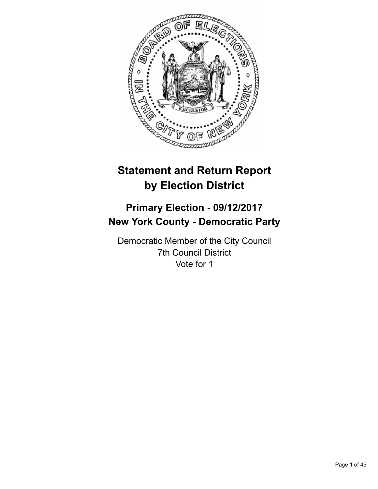

# **Statement and Return Report by Election District**

# **Primary Election - 09/12/2017 New York County - Democratic Party**

Democratic Member of the City Council 7th Council District Vote for 1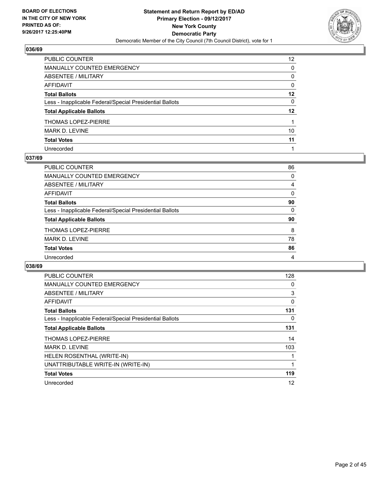

| PUBLIC COUNTER                                           | 12 <sup>2</sup> |
|----------------------------------------------------------|-----------------|
| MANUALLY COUNTED EMERGENCY                               | $\Omega$        |
| <b>ABSENTEE / MILITARY</b>                               | $\mathbf{0}$    |
| <b>AFFIDAVIT</b>                                         | $\mathbf{0}$    |
| <b>Total Ballots</b>                                     | $12 \,$         |
| Less - Inapplicable Federal/Special Presidential Ballots | 0               |
| <b>Total Applicable Ballots</b>                          | $12 \,$         |
| THOMAS LOPEZ-PIERRE                                      |                 |
| <b>MARK D. LEVINE</b>                                    | 10              |
| <b>Total Votes</b>                                       | 11              |
| Unrecorded                                               |                 |

## **037/69**

| PUBLIC COUNTER                                           | 86 |
|----------------------------------------------------------|----|
| MANUALLY COUNTED EMERGENCY                               | 0  |
| ABSENTEE / MILITARY                                      | 4  |
| AFFIDAVIT                                                | 0  |
| <b>Total Ballots</b>                                     | 90 |
| Less - Inapplicable Federal/Special Presidential Ballots | 0  |
| <b>Total Applicable Ballots</b>                          | 90 |
| <b>THOMAS LOPEZ-PIERRE</b>                               | 8  |
| <b>MARK D. LEVINE</b>                                    | 78 |
| <b>Total Votes</b>                                       | 86 |
| Unrecorded                                               | 4  |

| <b>PUBLIC COUNTER</b>                                    | 128 |
|----------------------------------------------------------|-----|
| <b>MANUALLY COUNTED EMERGENCY</b>                        | 0   |
| <b>ABSENTEE / MILITARY</b>                               | 3   |
| <b>AFFIDAVIT</b>                                         | 0   |
| <b>Total Ballots</b>                                     | 131 |
| Less - Inapplicable Federal/Special Presidential Ballots | 0   |
| <b>Total Applicable Ballots</b>                          | 131 |
| <b>THOMAS LOPEZ-PIERRE</b>                               | 14  |
| <b>MARK D. LEVINE</b>                                    | 103 |
| HELEN ROSENTHAL (WRITE-IN)                               |     |
| UNATTRIBUTABLE WRITE-IN (WRITE-IN)                       | 1   |
| <b>Total Votes</b>                                       | 119 |
| Unrecorded                                               | 12  |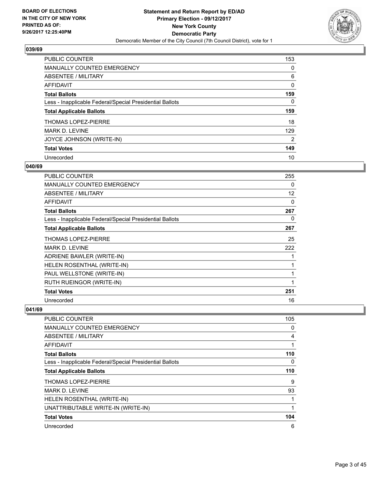

| <b>PUBLIC COUNTER</b>                                    | 153            |
|----------------------------------------------------------|----------------|
| MANUALLY COUNTED EMERGENCY                               | 0              |
| ABSENTEE / MILITARY                                      | 6              |
| AFFIDAVIT                                                | 0              |
| <b>Total Ballots</b>                                     | 159            |
| Less - Inapplicable Federal/Special Presidential Ballots | 0              |
| <b>Total Applicable Ballots</b>                          | 159            |
| THOMAS LOPEZ-PIERRE                                      | 18             |
| <b>MARK D. LEVINE</b>                                    | 129            |
| JOYCE JOHNSON (WRITE-IN)                                 | $\overline{2}$ |
| <b>Total Votes</b>                                       | 149            |
| Unrecorded                                               | 10             |

#### **040/69**

| <b>PUBLIC COUNTER</b>                                    | 255               |
|----------------------------------------------------------|-------------------|
| <b>MANUALLY COUNTED EMERGENCY</b>                        | 0                 |
| <b>ABSENTEE / MILITARY</b>                               | $12 \overline{ }$ |
| AFFIDAVIT                                                | 0                 |
| <b>Total Ballots</b>                                     | 267               |
| Less - Inapplicable Federal/Special Presidential Ballots | 0                 |
| <b>Total Applicable Ballots</b>                          | 267               |
| <b>THOMAS LOPEZ-PIERRE</b>                               | 25                |
| <b>MARK D. LEVINE</b>                                    | 222               |
| ADRIENE BAWLER (WRITE-IN)                                | 1                 |
| HELEN ROSENTHAL (WRITE-IN)                               | 1                 |
| PAUL WELLSTONE (WRITE-IN)                                | 1                 |
| RUTH RUEINGOR (WRITE-IN)                                 | 1                 |
| <b>Total Votes</b>                                       | 251               |
| Unrecorded                                               | 16                |

| PUBLIC COUNTER                                           | 105 |
|----------------------------------------------------------|-----|
| <b>MANUALLY COUNTED EMERGENCY</b>                        | 0   |
| ABSENTEE / MILITARY                                      | 4   |
| AFFIDAVIT                                                |     |
| <b>Total Ballots</b>                                     | 110 |
| Less - Inapplicable Federal/Special Presidential Ballots | 0   |
| <b>Total Applicable Ballots</b>                          | 110 |
| <b>THOMAS LOPEZ-PIERRE</b>                               | 9   |
| <b>MARK D. LEVINE</b>                                    | 93  |
| HELEN ROSENTHAL (WRITE-IN)                               |     |
| UNATTRIBUTABLE WRITE-IN (WRITE-IN)                       | 1   |
| <b>Total Votes</b>                                       | 104 |
| Unrecorded                                               | 6   |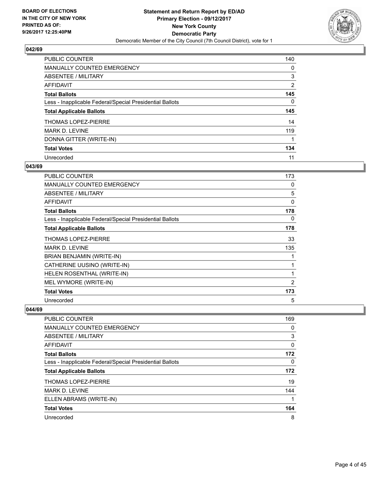

| <b>PUBLIC COUNTER</b>                                    | 140            |
|----------------------------------------------------------|----------------|
| <b>MANUALLY COUNTED EMERGENCY</b>                        | 0              |
| ABSENTEE / MILITARY                                      | 3              |
| AFFIDAVIT                                                | $\overline{2}$ |
| <b>Total Ballots</b>                                     | 145            |
| Less - Inapplicable Federal/Special Presidential Ballots | 0              |
| <b>Total Applicable Ballots</b>                          | 145            |
| <b>THOMAS LOPEZ-PIERRE</b>                               | 14             |
| MARK D. LEVINE                                           | 119            |
| DONNA GITTER (WRITE-IN)                                  |                |
| <b>Total Votes</b>                                       | 134            |
| Unrecorded                                               | 11             |

## **043/69**

| <b>PUBLIC COUNTER</b>                                    | 173            |
|----------------------------------------------------------|----------------|
| <b>MANUALLY COUNTED EMERGENCY</b>                        | 0              |
| <b>ABSENTEE / MILITARY</b>                               | 5              |
| AFFIDAVIT                                                | 0              |
| <b>Total Ballots</b>                                     | 178            |
| Less - Inapplicable Federal/Special Presidential Ballots | 0              |
| <b>Total Applicable Ballots</b>                          | 178            |
| <b>THOMAS LOPEZ-PIERRE</b>                               | 33             |
| <b>MARK D. LEVINE</b>                                    | 135            |
| BRIAN BENJAMIN (WRITE-IN)                                | 1              |
| CATHERINE UUSINO (WRITE-IN)                              |                |
| HELEN ROSENTHAL (WRITE-IN)                               | 1              |
| MEL WYMORE (WRITE-IN)                                    | $\overline{2}$ |
| <b>Total Votes</b>                                       | 173            |
| Unrecorded                                               | 5              |

| <b>PUBLIC COUNTER</b>                                    | 169 |
|----------------------------------------------------------|-----|
| MANUALLY COUNTED EMERGENCY                               | 0   |
| ABSENTEE / MILITARY                                      | 3   |
| AFFIDAVIT                                                | 0   |
| <b>Total Ballots</b>                                     | 172 |
| Less - Inapplicable Federal/Special Presidential Ballots | 0   |
| <b>Total Applicable Ballots</b>                          | 172 |
| <b>THOMAS LOPEZ-PIERRE</b>                               | 19  |
| MARK D. LEVINE                                           | 144 |
| ELLEN ABRAMS (WRITE-IN)                                  |     |
| <b>Total Votes</b>                                       | 164 |
| Unrecorded                                               | 8   |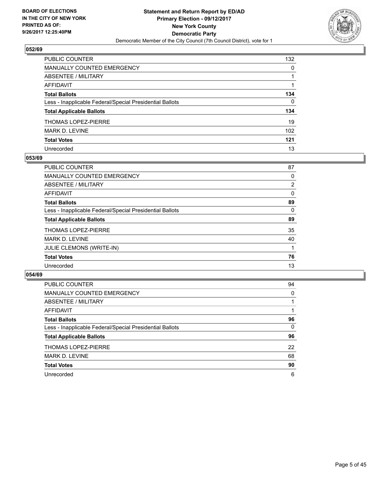

| PUBLIC COUNTER                                           | 132      |
|----------------------------------------------------------|----------|
| <b>MANUALLY COUNTED EMERGENCY</b>                        | 0        |
| <b>ABSENTEE / MILITARY</b>                               | 1        |
| <b>AFFIDAVIT</b>                                         |          |
| <b>Total Ballots</b>                                     | 134      |
| Less - Inapplicable Federal/Special Presidential Ballots | $\Omega$ |
| <b>Total Applicable Ballots</b>                          | 134      |
| <b>THOMAS LOPEZ-PIERRE</b>                               | 19       |
| MARK D. LEVINE                                           | 102      |
| <b>Total Votes</b>                                       | 121      |
| Unrecorded                                               | 13       |

#### **053/69**

| <b>PUBLIC COUNTER</b>                                    | 87             |
|----------------------------------------------------------|----------------|
| <b>MANUALLY COUNTED EMERGENCY</b>                        | 0              |
| ABSENTEE / MILITARY                                      | $\overline{2}$ |
| AFFIDAVIT                                                | 0              |
| <b>Total Ballots</b>                                     | 89             |
| Less - Inapplicable Federal/Special Presidential Ballots | 0              |
| <b>Total Applicable Ballots</b>                          | 89             |
| <b>THOMAS LOPEZ-PIERRE</b>                               | 35             |
| <b>MARK D. LEVINE</b>                                    | 40             |
| <b>JULIE CLEMONS (WRITE-IN)</b>                          |                |
| <b>Total Votes</b>                                       | 76             |
| Unrecorded                                               | 13             |

| PUBLIC COUNTER                                           | 94 |
|----------------------------------------------------------|----|
| MANUALLY COUNTED EMERGENCY                               | 0  |
| ABSENTEE / MILITARY                                      |    |
| AFFIDAVIT                                                |    |
| <b>Total Ballots</b>                                     | 96 |
| Less - Inapplicable Federal/Special Presidential Ballots | 0  |
| <b>Total Applicable Ballots</b>                          | 96 |
| <b>THOMAS LOPEZ-PIERRE</b>                               | 22 |
| MARK D. LEVINE                                           | 68 |
| <b>Total Votes</b>                                       | 90 |
| Unrecorded                                               | 6  |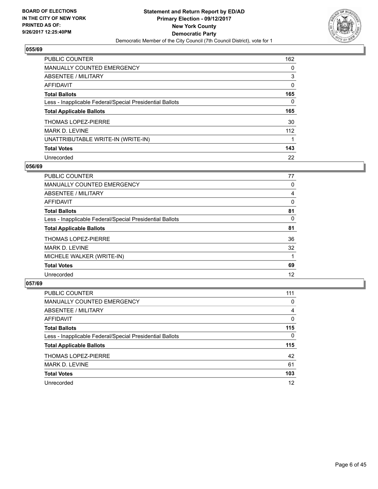

| <b>PUBLIC COUNTER</b>                                    | 162 |
|----------------------------------------------------------|-----|
| MANUALLY COUNTED EMERGENCY                               | 0   |
| ABSENTEE / MILITARY                                      | 3   |
| AFFIDAVIT                                                | 0   |
| <b>Total Ballots</b>                                     | 165 |
| Less - Inapplicable Federal/Special Presidential Ballots | 0   |
| <b>Total Applicable Ballots</b>                          | 165 |
| THOMAS LOPEZ-PIERRE                                      | 30  |
| <b>MARK D. LEVINE</b>                                    | 112 |
| UNATTRIBUTABLE WRITE-IN (WRITE-IN)                       |     |
|                                                          |     |
| <b>Total Votes</b>                                       | 143 |

#### **056/69**

| <b>PUBLIC COUNTER</b>                                    | 77 |
|----------------------------------------------------------|----|
| <b>MANUALLY COUNTED EMERGENCY</b>                        | 0  |
| ABSENTEE / MILITARY                                      | 4  |
| <b>AFFIDAVIT</b>                                         | 0  |
| <b>Total Ballots</b>                                     | 81 |
| Less - Inapplicable Federal/Special Presidential Ballots | 0  |
| <b>Total Applicable Ballots</b>                          | 81 |
| <b>THOMAS LOPEZ-PIERRE</b>                               | 36 |
| <b>MARK D. LEVINE</b>                                    | 32 |
| MICHELE WALKER (WRITE-IN)                                |    |
| <b>Total Votes</b>                                       | 69 |
| Unrecorded                                               | 12 |

| <b>PUBLIC COUNTER</b>                                    | 111      |
|----------------------------------------------------------|----------|
| MANUALLY COUNTED EMERGENCY                               | 0        |
| ABSENTEE / MILITARY                                      | 4        |
| AFFIDAVIT                                                | 0        |
| <b>Total Ballots</b>                                     | 115      |
| Less - Inapplicable Federal/Special Presidential Ballots | $\Omega$ |
| <b>Total Applicable Ballots</b>                          | 115      |
| THOMAS LOPEZ-PIERRE                                      | 42       |
| <b>MARK D. LEVINE</b>                                    | 61       |
| <b>Total Votes</b>                                       | 103      |
| Unrecorded                                               | 12       |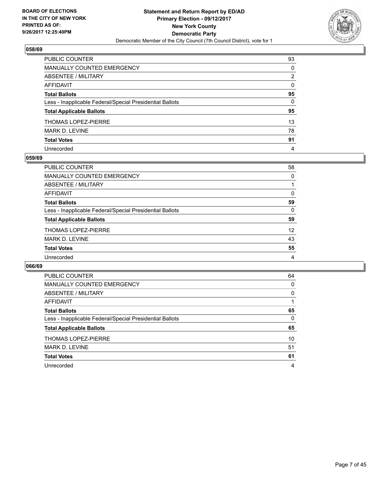

| PUBLIC COUNTER                                           | 93       |
|----------------------------------------------------------|----------|
| MANUALLY COUNTED EMERGENCY                               | $\Omega$ |
| <b>ABSENTEE / MILITARY</b>                               | 2        |
| <b>AFFIDAVIT</b>                                         | $\Omega$ |
| <b>Total Ballots</b>                                     | 95       |
| Less - Inapplicable Federal/Special Presidential Ballots | 0        |
| <b>Total Applicable Ballots</b>                          | 95       |
| THOMAS LOPEZ-PIERRE                                      | 13       |
| <b>MARK D. LEVINE</b>                                    | 78       |
| <b>Total Votes</b>                                       | 91       |
| Unrecorded                                               | 4        |

#### **059/69**

| <b>PUBLIC COUNTER</b>                                    | 58 |
|----------------------------------------------------------|----|
| MANUALLY COUNTED EMERGENCY                               | 0  |
| ABSENTEE / MILITARY                                      |    |
| AFFIDAVIT                                                | 0  |
| <b>Total Ballots</b>                                     | 59 |
| Less - Inapplicable Federal/Special Presidential Ballots | 0  |
| <b>Total Applicable Ballots</b>                          | 59 |
| <b>THOMAS LOPEZ-PIERRE</b>                               | 12 |
| MARK D. LEVINE                                           | 43 |
| <b>Total Votes</b>                                       | 55 |
| Unrecorded                                               | 4  |

| <b>PUBLIC COUNTER</b>                                    | 64 |
|----------------------------------------------------------|----|
| <b>MANUALLY COUNTED EMERGENCY</b>                        | 0  |
| ABSENTEE / MILITARY                                      | 0  |
| AFFIDAVIT                                                |    |
| <b>Total Ballots</b>                                     | 65 |
| Less - Inapplicable Federal/Special Presidential Ballots | 0  |
| <b>Total Applicable Ballots</b>                          | 65 |
| THOMAS LOPEZ-PIERRE                                      | 10 |
| <b>MARK D. LEVINE</b>                                    | 51 |
| <b>Total Votes</b>                                       | 61 |
| Unrecorded                                               | 4  |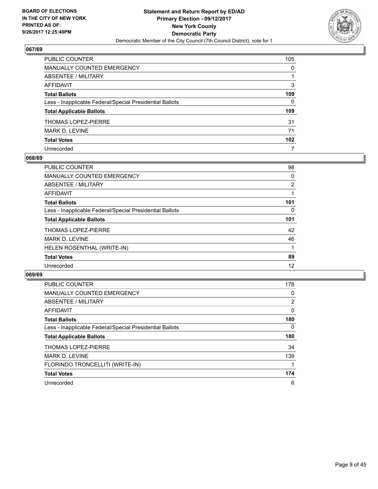

| PUBLIC COUNTER                                           | 105              |
|----------------------------------------------------------|------------------|
| <b>MANUALLY COUNTED EMERGENCY</b>                        | 0                |
| <b>ABSENTEE / MILITARY</b>                               | 1                |
| <b>AFFIDAVIT</b>                                         | 3                |
| <b>Total Ballots</b>                                     | 109              |
| Less - Inapplicable Federal/Special Presidential Ballots | 0                |
| <b>Total Applicable Ballots</b>                          | 109              |
| <b>THOMAS LOPEZ-PIERRE</b>                               | 31               |
| MARK D. LEVINE                                           | 71               |
| <b>Total Votes</b>                                       | 102 <sub>2</sub> |
| Unrecorded                                               | 7                |

## **068/69**

| <b>PUBLIC COUNTER</b>                                    | 98  |
|----------------------------------------------------------|-----|
| <b>MANUALLY COUNTED EMERGENCY</b>                        | 0   |
| ABSENTEE / MILITARY                                      | 2   |
| AFFIDAVIT                                                |     |
| <b>Total Ballots</b>                                     | 101 |
| Less - Inapplicable Federal/Special Presidential Ballots | 0   |
| <b>Total Applicable Ballots</b>                          | 101 |
| <b>THOMAS LOPEZ-PIERRE</b>                               | 42  |
| <b>MARK D. LEVINE</b>                                    | 46  |
| HELEN ROSENTHAL (WRITE-IN)                               |     |
| <b>Total Votes</b>                                       | 89  |
| Unrecorded                                               | 12  |

| <b>PUBLIC COUNTER</b>                                    | 178            |
|----------------------------------------------------------|----------------|
| <b>MANUALLY COUNTED EMERGENCY</b>                        | 0              |
| ABSENTEE / MILITARY                                      | $\overline{2}$ |
| <b>AFFIDAVIT</b>                                         | $\mathbf{0}$   |
| <b>Total Ballots</b>                                     | 180            |
| Less - Inapplicable Federal/Special Presidential Ballots | $\Omega$       |
| <b>Total Applicable Ballots</b>                          | 180            |
| <b>THOMAS LOPEZ-PIERRE</b>                               | 34             |
| <b>MARK D. LEVINE</b>                                    | 139            |
| FLORINDO TRONCELLITI (WRITE-IN)                          |                |
| <b>Total Votes</b>                                       | 174            |
| Unrecorded                                               | 6              |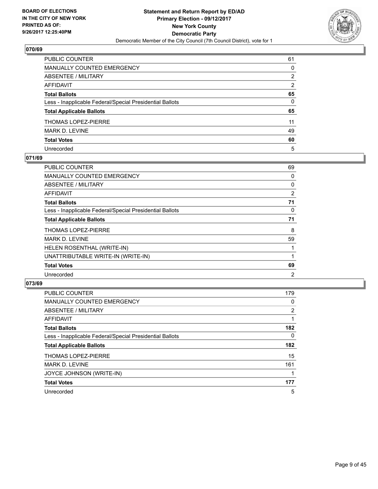

| PUBLIC COUNTER                                           | 61 |
|----------------------------------------------------------|----|
| MANUALLY COUNTED EMERGENCY                               | 0  |
| <b>ABSENTEE / MILITARY</b>                               | 2  |
| <b>AFFIDAVIT</b>                                         | 2  |
| <b>Total Ballots</b>                                     | 65 |
| Less - Inapplicable Federal/Special Presidential Ballots | 0  |
| <b>Total Applicable Ballots</b>                          | 65 |
| THOMAS LOPEZ-PIERRE                                      | 11 |
| MARK D. LEVINE                                           | 49 |
| <b>Total Votes</b>                                       | 60 |
| Unrecorded                                               | 5  |

## **071/69**

| <b>PUBLIC COUNTER</b>                                    | 69 |
|----------------------------------------------------------|----|
| <b>MANUALLY COUNTED EMERGENCY</b>                        | 0  |
| ABSENTEE / MILITARY                                      | 0  |
| AFFIDAVIT                                                | 2  |
| <b>Total Ballots</b>                                     | 71 |
| Less - Inapplicable Federal/Special Presidential Ballots | 0  |
| <b>Total Applicable Ballots</b>                          | 71 |
| <b>THOMAS LOPEZ-PIERRE</b>                               | 8  |
| <b>MARK D. LEVINE</b>                                    | 59 |
| HELEN ROSENTHAL (WRITE-IN)                               |    |
| UNATTRIBUTABLE WRITE-IN (WRITE-IN)                       |    |
| <b>Total Votes</b>                                       | 69 |
| Unrecorded                                               | 2  |

| <b>PUBLIC COUNTER</b>                                    | 179 |
|----------------------------------------------------------|-----|
| <b>MANUALLY COUNTED EMERGENCY</b>                        | 0   |
| ABSENTEE / MILITARY                                      | 2   |
| <b>AFFIDAVIT</b>                                         |     |
| <b>Total Ballots</b>                                     | 182 |
| Less - Inapplicable Federal/Special Presidential Ballots | 0   |
| <b>Total Applicable Ballots</b>                          | 182 |
| <b>THOMAS LOPEZ-PIERRE</b>                               | 15  |
| MARK D. LEVINE                                           | 161 |
| JOYCE JOHNSON (WRITE-IN)                                 |     |
| <b>Total Votes</b>                                       | 177 |
| Unrecorded                                               | 5   |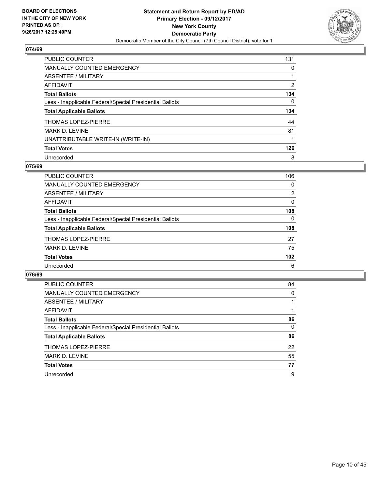

| <b>PUBLIC COUNTER</b>                                    | 131            |
|----------------------------------------------------------|----------------|
| <b>MANUALLY COUNTED EMERGENCY</b>                        | 0              |
| ABSENTEE / MILITARY                                      |                |
| AFFIDAVIT                                                | $\overline{2}$ |
| <b>Total Ballots</b>                                     | 134            |
| Less - Inapplicable Federal/Special Presidential Ballots | 0              |
| <b>Total Applicable Ballots</b>                          | 134            |
| <b>THOMAS LOPEZ-PIERRE</b>                               | 44             |
| <b>MARK D. LEVINE</b>                                    | 81             |
| UNATTRIBUTABLE WRITE-IN (WRITE-IN)                       |                |
| <b>Total Votes</b>                                       | 126            |
| Unrecorded                                               | 8              |

#### **075/69**

| <b>PUBLIC COUNTER</b>                                    | 106            |
|----------------------------------------------------------|----------------|
| <b>MANUALLY COUNTED EMERGENCY</b>                        | 0              |
| ABSENTEE / MILITARY                                      | $\overline{2}$ |
| AFFIDAVIT                                                | 0              |
| <b>Total Ballots</b>                                     | 108            |
| Less - Inapplicable Federal/Special Presidential Ballots | 0              |
| <b>Total Applicable Ballots</b>                          | 108            |
| THOMAS LOPEZ-PIERRE                                      | 27             |
| <b>MARK D. LEVINE</b>                                    | 75             |
| <b>Total Votes</b>                                       | 102            |
| Unrecorded                                               | 6              |

| <b>PUBLIC COUNTER</b>                                    | 84 |
|----------------------------------------------------------|----|
| MANUALLY COUNTED EMERGENCY                               | 0  |
| ABSENTEE / MILITARY                                      |    |
| AFFIDAVIT                                                |    |
| <b>Total Ballots</b>                                     | 86 |
| Less - Inapplicable Federal/Special Presidential Ballots | 0  |
| <b>Total Applicable Ballots</b>                          | 86 |
| <b>THOMAS LOPEZ-PIERRE</b>                               | 22 |
| MARK D. LEVINE                                           | 55 |
| <b>Total Votes</b>                                       | 77 |
| Unrecorded                                               | 9  |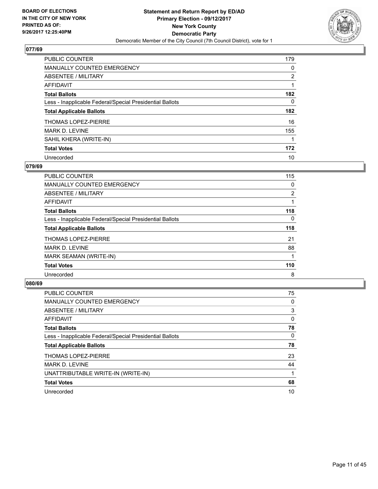

| <b>PUBLIC COUNTER</b>                                    | 179            |
|----------------------------------------------------------|----------------|
| <b>MANUALLY COUNTED EMERGENCY</b>                        | 0              |
| ABSENTEE / MILITARY                                      | $\overline{2}$ |
| AFFIDAVIT                                                |                |
| <b>Total Ballots</b>                                     | 182            |
| Less - Inapplicable Federal/Special Presidential Ballots | 0              |
| <b>Total Applicable Ballots</b>                          | 182            |
| <b>THOMAS LOPEZ-PIERRE</b>                               | 16             |
| <b>MARK D. LEVINE</b>                                    | 155            |
| SAHIL KHERA (WRITE-IN)                                   |                |
| <b>Total Votes</b>                                       | 172            |
| Unrecorded                                               | 10             |

#### **079/69**

| <b>PUBLIC COUNTER</b>                                    | 115            |
|----------------------------------------------------------|----------------|
| <b>MANUALLY COUNTED EMERGENCY</b>                        | 0              |
| ABSENTEE / MILITARY                                      | $\overline{2}$ |
| <b>AFFIDAVIT</b>                                         |                |
| <b>Total Ballots</b>                                     | 118            |
| Less - Inapplicable Federal/Special Presidential Ballots | 0              |
| <b>Total Applicable Ballots</b>                          | 118            |
| <b>THOMAS LOPEZ-PIERRE</b>                               | 21             |
| <b>MARK D. LEVINE</b>                                    | 88             |
| MARK SEAMAN (WRITE-IN)                                   |                |
| <b>Total Votes</b>                                       | 110            |
| Unrecorded                                               | 8              |

| <b>PUBLIC COUNTER</b>                                    | 75 |
|----------------------------------------------------------|----|
| <b>MANUALLY COUNTED EMERGENCY</b>                        | 0  |
| ABSENTEE / MILITARY                                      | 3  |
| AFFIDAVIT                                                | 0  |
| <b>Total Ballots</b>                                     | 78 |
| Less - Inapplicable Federal/Special Presidential Ballots | 0  |
| <b>Total Applicable Ballots</b>                          | 78 |
| <b>THOMAS LOPEZ-PIERRE</b>                               | 23 |
| <b>MARK D. LEVINE</b>                                    | 44 |
| UNATTRIBUTABLE WRITE-IN (WRITE-IN)                       |    |
| <b>Total Votes</b>                                       | 68 |
| Unrecorded                                               | 10 |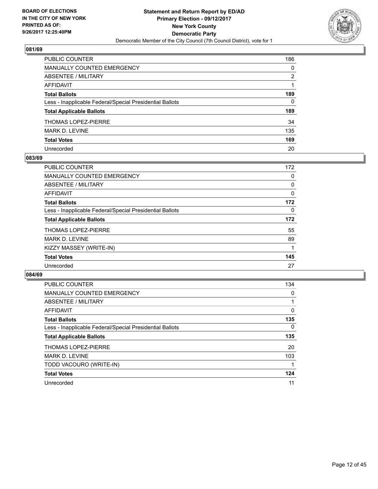

| PUBLIC COUNTER                                           | 186          |
|----------------------------------------------------------|--------------|
| <b>MANUALLY COUNTED EMERGENCY</b>                        | $\mathbf{0}$ |
| <b>ABSENTEE / MILITARY</b>                               | 2            |
| <b>AFFIDAVIT</b>                                         |              |
| <b>Total Ballots</b>                                     | 189          |
| Less - Inapplicable Federal/Special Presidential Ballots | $\mathbf{0}$ |
| <b>Total Applicable Ballots</b>                          | 189          |
| <b>THOMAS LOPEZ-PIERRE</b>                               | 34           |
| MARK D. LEVINE                                           | 135          |
| <b>Total Votes</b>                                       | 169          |
| Unrecorded                                               | 20           |

#### **083/69**

| <b>PUBLIC COUNTER</b>                                    | 172 |
|----------------------------------------------------------|-----|
| <b>MANUALLY COUNTED EMERGENCY</b>                        | 0   |
| ABSENTEE / MILITARY                                      | 0   |
| AFFIDAVIT                                                | 0   |
| <b>Total Ballots</b>                                     | 172 |
| Less - Inapplicable Federal/Special Presidential Ballots | 0   |
| <b>Total Applicable Ballots</b>                          | 172 |
| <b>THOMAS LOPEZ-PIERRE</b>                               | 55  |
| <b>MARK D. LEVINE</b>                                    | 89  |
| KIZZY MASSEY (WRITE-IN)                                  |     |
| <b>Total Votes</b>                                       | 145 |
| Unrecorded                                               | 27  |

| <b>PUBLIC COUNTER</b>                                    | 134      |
|----------------------------------------------------------|----------|
| <b>MANUALLY COUNTED EMERGENCY</b>                        | 0        |
| ABSENTEE / MILITARY                                      |          |
| AFFIDAVIT                                                | $\Omega$ |
| <b>Total Ballots</b>                                     | 135      |
| Less - Inapplicable Federal/Special Presidential Ballots | $\Omega$ |
| <b>Total Applicable Ballots</b>                          | 135      |
| <b>THOMAS LOPEZ-PIERRE</b>                               | 20       |
| <b>MARK D. LEVINE</b>                                    | 103      |
| TODD VACOURO (WRITE-IN)                                  |          |
| <b>Total Votes</b>                                       | 124      |
| Unrecorded                                               | 11       |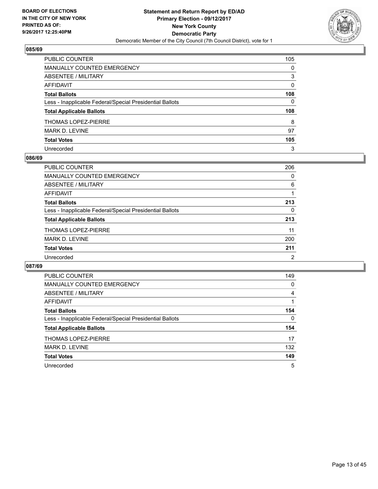

| PUBLIC COUNTER                                           | 105 |
|----------------------------------------------------------|-----|
| <b>MANUALLY COUNTED EMERGENCY</b>                        | 0   |
| <b>ABSENTEE / MILITARY</b>                               | 3   |
| AFFIDAVIT                                                | 0   |
| <b>Total Ballots</b>                                     | 108 |
| Less - Inapplicable Federal/Special Presidential Ballots | 0   |
| <b>Total Applicable Ballots</b>                          | 108 |
| <b>THOMAS LOPEZ-PIERRE</b>                               | 8   |
| MARK D. LEVINE                                           | 97  |
| <b>Total Votes</b>                                       | 105 |
| Unrecorded                                               | 3   |

#### **086/69**

| <b>PUBLIC COUNTER</b>                                    | 206 |
|----------------------------------------------------------|-----|
| <b>MANUALLY COUNTED EMERGENCY</b>                        | 0   |
| ABSENTEE / MILITARY                                      | 6   |
| AFFIDAVIT                                                |     |
| <b>Total Ballots</b>                                     | 213 |
| Less - Inapplicable Federal/Special Presidential Ballots | 0   |
| <b>Total Applicable Ballots</b>                          | 213 |
| <b>THOMAS LOPEZ-PIERRE</b>                               | 11  |
| <b>MARK D. LEVINE</b>                                    | 200 |
| <b>Total Votes</b>                                       | 211 |
| Unrecorded                                               | 2   |

| <b>PUBLIC COUNTER</b>                                    | 149 |
|----------------------------------------------------------|-----|
| <b>MANUALLY COUNTED EMERGENCY</b>                        | 0   |
| ABSENTEE / MILITARY                                      | 4   |
| AFFIDAVIT                                                |     |
| <b>Total Ballots</b>                                     | 154 |
| Less - Inapplicable Federal/Special Presidential Ballots | 0   |
| <b>Total Applicable Ballots</b>                          | 154 |
| <b>THOMAS LOPEZ-PIERRE</b>                               | 17  |
| MARK D. LEVINE                                           | 132 |
| <b>Total Votes</b>                                       | 149 |
| Unrecorded                                               | 5   |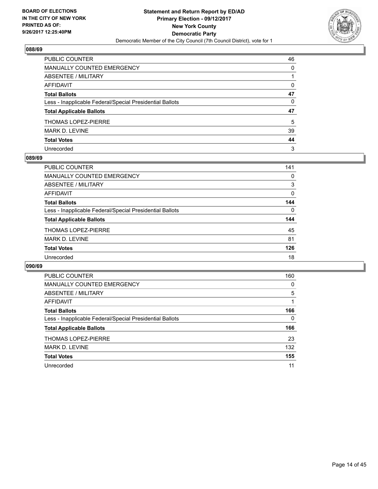

| PUBLIC COUNTER                                           | 46       |
|----------------------------------------------------------|----------|
| <b>MANUALLY COUNTED EMERGENCY</b>                        | 0        |
| <b>ABSENTEE / MILITARY</b>                               |          |
| <b>AFFIDAVIT</b>                                         | $\Omega$ |
| <b>Total Ballots</b>                                     | 47       |
| Less - Inapplicable Federal/Special Presidential Ballots | 0        |
| <b>Total Applicable Ballots</b>                          | 47       |
| <b>THOMAS LOPEZ-PIERRE</b>                               | 5        |
| MARK D. LEVINE                                           | 39       |
| <b>Total Votes</b>                                       | 44       |
| Unrecorded                                               | 3        |

#### **089/69**

| <b>PUBLIC COUNTER</b>                                    | 141      |
|----------------------------------------------------------|----------|
| <b>MANUALLY COUNTED EMERGENCY</b>                        | 0        |
| ABSENTEE / MILITARY                                      | 3        |
| AFFIDAVIT                                                | $\Omega$ |
| <b>Total Ballots</b>                                     | 144      |
| Less - Inapplicable Federal/Special Presidential Ballots | $\Omega$ |
| <b>Total Applicable Ballots</b>                          | 144      |
| THOMAS LOPEZ-PIERRE                                      | 45       |
| <b>MARK D. LEVINE</b>                                    | 81       |
| <b>Total Votes</b>                                       | 126      |
| Unrecorded                                               | 18       |

| PUBLIC COUNTER                                           | 160 |
|----------------------------------------------------------|-----|
| <b>MANUALLY COUNTED EMERGENCY</b>                        | 0   |
| ABSENTEE / MILITARY                                      | 5   |
| AFFIDAVIT                                                |     |
| <b>Total Ballots</b>                                     | 166 |
| Less - Inapplicable Federal/Special Presidential Ballots | 0   |
| <b>Total Applicable Ballots</b>                          | 166 |
| <b>THOMAS LOPEZ-PIERRE</b>                               | 23  |
| MARK D. LEVINE                                           | 132 |
| <b>Total Votes</b>                                       | 155 |
| Unrecorded                                               | 11  |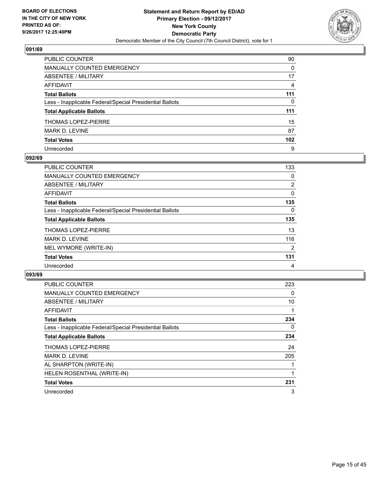

| PUBLIC COUNTER                                           | 90               |
|----------------------------------------------------------|------------------|
| <b>MANUALLY COUNTED EMERGENCY</b>                        | 0                |
| <b>ABSENTEE / MILITARY</b>                               | 17               |
| <b>AFFIDAVIT</b>                                         | 4                |
| <b>Total Ballots</b>                                     | 111              |
| Less - Inapplicable Federal/Special Presidential Ballots | 0                |
| <b>Total Applicable Ballots</b>                          | 111              |
| <b>THOMAS LOPEZ-PIERRE</b>                               | 15               |
| <b>MARK D. LEVINE</b>                                    | 87               |
| <b>Total Votes</b>                                       | 102 <sub>2</sub> |
| Unrecorded                                               | 9                |

## **092/69**

| <b>PUBLIC COUNTER</b>                                    | 133            |
|----------------------------------------------------------|----------------|
| MANUALLY COUNTED EMERGENCY                               | 0              |
| ABSENTEE / MILITARY                                      | $\overline{2}$ |
| AFFIDAVIT                                                | 0              |
| <b>Total Ballots</b>                                     | 135            |
| Less - Inapplicable Federal/Special Presidential Ballots | 0              |
| <b>Total Applicable Ballots</b>                          | 135            |
| <b>THOMAS LOPEZ-PIERRE</b>                               | 13             |
| <b>MARK D. LEVINE</b>                                    | 116            |
| MEL WYMORE (WRITE-IN)                                    | 2              |
| <b>Total Votes</b>                                       | 131            |
| Unrecorded                                               | 4              |

| <b>PUBLIC COUNTER</b>                                    | 223 |
|----------------------------------------------------------|-----|
| <b>MANUALLY COUNTED EMERGENCY</b>                        | 0   |
| ABSENTEE / MILITARY                                      | 10  |
| <b>AFFIDAVIT</b>                                         |     |
| <b>Total Ballots</b>                                     | 234 |
| Less - Inapplicable Federal/Special Presidential Ballots | 0   |
| <b>Total Applicable Ballots</b>                          | 234 |
| <b>THOMAS LOPEZ-PIERRE</b>                               | 24  |
| <b>MARK D. LEVINE</b>                                    | 205 |
| AL SHARPTON (WRITE-IN)                                   |     |
| HELEN ROSENTHAL (WRITE-IN)                               |     |
| <b>Total Votes</b>                                       | 231 |
| Unrecorded                                               | 3   |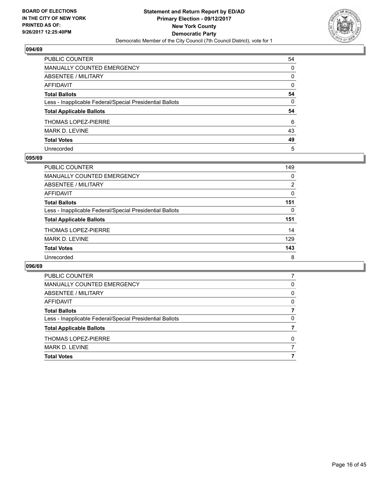

| PUBLIC COUNTER                                           | 54           |
|----------------------------------------------------------|--------------|
| MANUALLY COUNTED EMERGENCY                               | $\Omega$     |
| <b>ABSENTEE / MILITARY</b>                               | 0            |
| <b>AFFIDAVIT</b>                                         | $\Omega$     |
| <b>Total Ballots</b>                                     | 54           |
| Less - Inapplicable Federal/Special Presidential Ballots | $\mathbf{0}$ |
| <b>Total Applicable Ballots</b>                          | 54           |
| <b>THOMAS LOPEZ-PIERRE</b>                               | 6            |
| MARK D. LEVINE                                           | 43           |
| <b>Total Votes</b>                                       | 49           |
| Unrecorded                                               | 5            |

#### **095/69**

| <b>PUBLIC COUNTER</b>                                    | 149 |
|----------------------------------------------------------|-----|
| <b>MANUALLY COUNTED EMERGENCY</b>                        | 0   |
| ABSENTEE / MILITARY                                      | 2   |
| AFFIDAVIT                                                | 0   |
| <b>Total Ballots</b>                                     | 151 |
| Less - Inapplicable Federal/Special Presidential Ballots | 0   |
| <b>Total Applicable Ballots</b>                          | 151 |
| <b>THOMAS LOPEZ-PIERRE</b>                               | 14  |
| <b>MARK D. LEVINE</b>                                    | 129 |
| <b>Total Votes</b>                                       | 143 |
| Unrecorded                                               | 8   |

| <b>PUBLIC COUNTER</b>                                    |          |
|----------------------------------------------------------|----------|
| MANUALLY COUNTED EMERGENCY                               | 0        |
| ABSENTEE / MILITARY                                      | 0        |
| AFFIDAVIT                                                | $\Omega$ |
| <b>Total Ballots</b>                                     |          |
| Less - Inapplicable Federal/Special Presidential Ballots | 0        |
| <b>Total Applicable Ballots</b>                          |          |
| THOMAS LOPEZ-PIERRE                                      | 0        |
| MARK D. LEVINE                                           |          |
| <b>Total Votes</b>                                       |          |
|                                                          |          |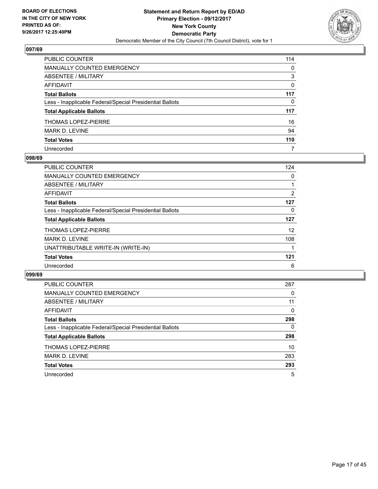

| PUBLIC COUNTER                                           | 114 |
|----------------------------------------------------------|-----|
| <b>MANUALLY COUNTED EMERGENCY</b>                        | 0   |
| <b>ABSENTEE / MILITARY</b>                               | 3   |
| <b>AFFIDAVIT</b>                                         | 0   |
| <b>Total Ballots</b>                                     | 117 |
| Less - Inapplicable Federal/Special Presidential Ballots | 0   |
| <b>Total Applicable Ballots</b>                          | 117 |
| <b>THOMAS LOPEZ-PIERRE</b>                               | 16  |
| MARK D. LEVINE                                           | 94  |
| <b>Total Votes</b>                                       | 110 |
| Unrecorded                                               | 7   |

#### **098/69**

| <b>PUBLIC COUNTER</b>                                    | 124 |
|----------------------------------------------------------|-----|
| MANUALLY COUNTED EMERGENCY                               | 0   |
| ABSENTEE / MILITARY                                      |     |
| AFFIDAVIT                                                | 2   |
| <b>Total Ballots</b>                                     | 127 |
| Less - Inapplicable Federal/Special Presidential Ballots | 0   |
| <b>Total Applicable Ballots</b>                          | 127 |
| <b>THOMAS LOPEZ-PIERRE</b>                               | 12  |
| <b>MARK D. LEVINE</b>                                    | 108 |
| UNATTRIBUTABLE WRITE-IN (WRITE-IN)                       |     |
| <b>Total Votes</b>                                       | 121 |
| Unrecorded                                               | 6   |

| <b>PUBLIC COUNTER</b>                                    | 287 |
|----------------------------------------------------------|-----|
| <b>MANUALLY COUNTED EMERGENCY</b>                        | 0   |
| ABSENTEE / MILITARY                                      | 11  |
| AFFIDAVIT                                                | 0   |
| <b>Total Ballots</b>                                     | 298 |
| Less - Inapplicable Federal/Special Presidential Ballots | 0   |
| <b>Total Applicable Ballots</b>                          | 298 |
| <b>THOMAS LOPEZ-PIERRE</b>                               | 10  |
| MARK D. LEVINE                                           | 283 |
| <b>Total Votes</b>                                       | 293 |
| Unrecorded                                               | 5   |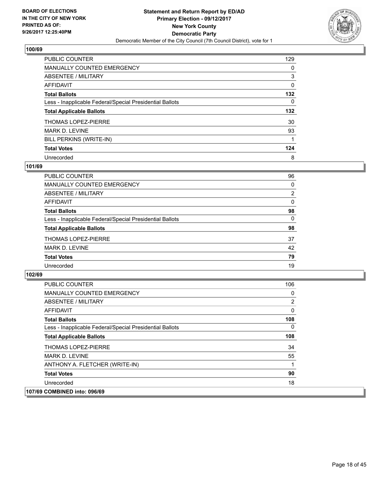

| <b>PUBLIC COUNTER</b>                                    | 129 |
|----------------------------------------------------------|-----|
| <b>MANUALLY COUNTED EMERGENCY</b>                        | 0   |
| ABSENTEE / MILITARY                                      | 3   |
| AFFIDAVIT                                                | 0   |
| <b>Total Ballots</b>                                     | 132 |
| Less - Inapplicable Federal/Special Presidential Ballots | 0   |
| <b>Total Applicable Ballots</b>                          | 132 |
| <b>THOMAS LOPEZ-PIERRE</b>                               | 30  |
| <b>MARK D. LEVINE</b>                                    | 93  |
| BILL PERKINS (WRITE-IN)                                  | 1   |
| <b>Total Votes</b>                                       | 124 |
| Unrecorded                                               | 8   |

#### **101/69**

| <b>PUBLIC COUNTER</b>                                    | 96 |
|----------------------------------------------------------|----|
| MANUALLY COUNTED EMERGENCY                               | 0  |
| ABSENTEE / MILITARY                                      | 2  |
| AFFIDAVIT                                                | 0  |
| <b>Total Ballots</b>                                     | 98 |
| Less - Inapplicable Federal/Special Presidential Ballots | 0  |
| <b>Total Applicable Ballots</b>                          | 98 |
| <b>THOMAS LOPEZ-PIERRE</b>                               | 37 |
| <b>MARK D. LEVINE</b>                                    | 42 |
| <b>Total Votes</b>                                       | 79 |
| Unrecorded                                               | 19 |

| <b>PUBLIC COUNTER</b>                                    | 106 |
|----------------------------------------------------------|-----|
| <b>MANUALLY COUNTED EMERGENCY</b>                        | 0   |
| ABSENTEE / MILITARY                                      | 2   |
| AFFIDAVIT                                                | 0   |
| <b>Total Ballots</b>                                     | 108 |
| Less - Inapplicable Federal/Special Presidential Ballots | 0   |
| <b>Total Applicable Ballots</b>                          | 108 |
| <b>THOMAS LOPEZ-PIERRE</b>                               | 34  |
| <b>MARK D. LEVINE</b>                                    | 55  |
| ANTHONY A. FLETCHER (WRITE-IN)                           | 1   |
| <b>Total Votes</b>                                       | 90  |
| Unrecorded                                               | 18  |
| 107/69 COMBINED into: 096/69                             |     |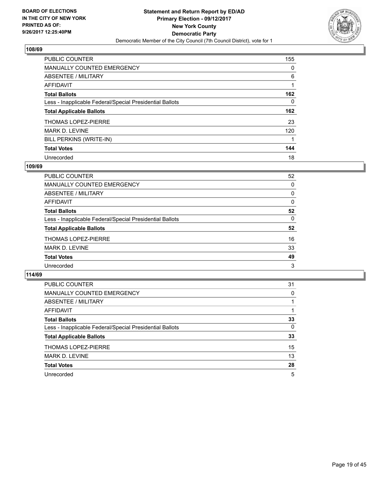

| <b>PUBLIC COUNTER</b>                                    | 155 |
|----------------------------------------------------------|-----|
| <b>MANUALLY COUNTED EMERGENCY</b>                        | 0   |
| ABSENTEE / MILITARY                                      | 6   |
| AFFIDAVIT                                                |     |
| <b>Total Ballots</b>                                     | 162 |
| Less - Inapplicable Federal/Special Presidential Ballots | 0   |
| <b>Total Applicable Ballots</b>                          | 162 |
| <b>THOMAS LOPEZ-PIERRE</b>                               | 23  |
| <b>MARK D. LEVINE</b>                                    | 120 |
| BILL PERKINS (WRITE-IN)                                  |     |
| <b>Total Votes</b>                                       | 144 |
| Unrecorded                                               | 18  |

#### **109/69**

| <b>PUBLIC COUNTER</b>                                    | 52 |
|----------------------------------------------------------|----|
| MANUALLY COUNTED EMERGENCY                               | 0  |
| ABSENTEE / MILITARY                                      | 0  |
| <b>AFFIDAVIT</b>                                         | 0  |
| <b>Total Ballots</b>                                     | 52 |
| Less - Inapplicable Federal/Special Presidential Ballots | 0  |
| <b>Total Applicable Ballots</b>                          | 52 |
| <b>THOMAS LOPEZ-PIERRE</b>                               | 16 |
| MARK D. LEVINE                                           | 33 |
| <b>Total Votes</b>                                       | 49 |
| Unrecorded                                               | 3  |

| PUBLIC COUNTER                                           | 31 |
|----------------------------------------------------------|----|
| <b>MANUALLY COUNTED EMERGENCY</b>                        | 0  |
| ABSENTEE / MILITARY                                      |    |
| AFFIDAVIT                                                |    |
| <b>Total Ballots</b>                                     | 33 |
| Less - Inapplicable Federal/Special Presidential Ballots | 0  |
| <b>Total Applicable Ballots</b>                          | 33 |
| <b>THOMAS LOPEZ-PIERRE</b>                               | 15 |
| <b>MARK D. LEVINE</b>                                    | 13 |
| <b>Total Votes</b>                                       | 28 |
| Unrecorded                                               | 5  |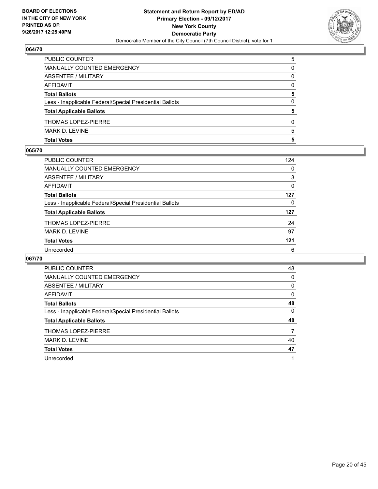

| <b>Total Votes</b>                                       | 5        |
|----------------------------------------------------------|----------|
| MARK D. LEVINE                                           | 5        |
| <b>THOMAS LOPEZ-PIERRE</b>                               | 0        |
| <b>Total Applicable Ballots</b>                          | 5        |
| Less - Inapplicable Federal/Special Presidential Ballots | 0        |
| <b>Total Ballots</b>                                     | 5        |
| <b>AFFIDAVIT</b>                                         | $\Omega$ |
| ABSENTEE / MILITARY                                      | 0        |
| <b>MANUALLY COUNTED EMERGENCY</b>                        | 0        |
| PUBLIC COUNTER                                           | 5        |

## **065/70**

| PUBLIC COUNTER                                           | 124 |
|----------------------------------------------------------|-----|
| <b>MANUALLY COUNTED EMERGENCY</b>                        | 0   |
| ABSENTEE / MILITARY                                      | 3   |
| AFFIDAVIT                                                | 0   |
| <b>Total Ballots</b>                                     | 127 |
| Less - Inapplicable Federal/Special Presidential Ballots | 0   |
| <b>Total Applicable Ballots</b>                          | 127 |
| <b>THOMAS LOPEZ-PIERRE</b>                               | 24  |
| <b>MARK D. LEVINE</b>                                    | 97  |
| <b>Total Votes</b>                                       | 121 |
| Unrecorded                                               | 6   |
|                                                          |     |

| <b>PUBLIC COUNTER</b>                                    | 48 |
|----------------------------------------------------------|----|
| <b>MANUALLY COUNTED EMERGENCY</b>                        | 0  |
| ABSENTEE / MILITARY                                      | 0  |
| AFFIDAVIT                                                | 0  |
| <b>Total Ballots</b>                                     | 48 |
| Less - Inapplicable Federal/Special Presidential Ballots | 0  |
| <b>Total Applicable Ballots</b>                          | 48 |
| THOMAS LOPEZ-PIERRE                                      | 7  |
| <b>MARK D. LEVINE</b>                                    | 40 |
| <b>Total Votes</b>                                       | 47 |
| Unrecorded                                               |    |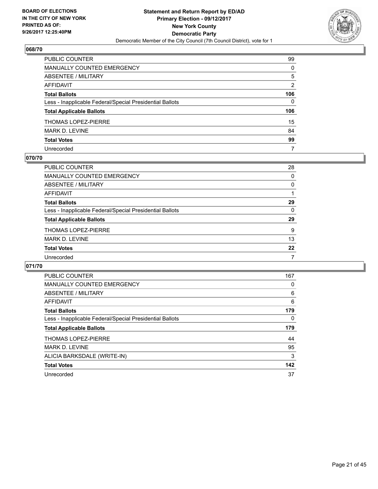

| PUBLIC COUNTER                                           | 99           |
|----------------------------------------------------------|--------------|
| <b>MANUALLY COUNTED EMERGENCY</b>                        | $\mathbf{0}$ |
| <b>ABSENTEE / MILITARY</b>                               | 5            |
| AFFIDAVIT                                                | 2            |
| <b>Total Ballots</b>                                     | 106          |
| Less - Inapplicable Federal/Special Presidential Ballots | $\mathbf{0}$ |
| <b>Total Applicable Ballots</b>                          | 106          |
| <b>THOMAS LOPEZ-PIERRE</b>                               | 15           |
| <b>MARK D. LEVINE</b>                                    | 84           |
| <b>Total Votes</b>                                       | 99           |
| Unrecorded                                               | 7            |

#### **070/70**

| <b>PUBLIC COUNTER</b>                                    | 28 |
|----------------------------------------------------------|----|
| MANUALLY COUNTED EMERGENCY                               | 0  |
| ABSENTEE / MILITARY                                      | 0  |
| AFFIDAVIT                                                |    |
| <b>Total Ballots</b>                                     | 29 |
| Less - Inapplicable Federal/Special Presidential Ballots | 0  |
| <b>Total Applicable Ballots</b>                          | 29 |
| <b>THOMAS LOPEZ-PIERRE</b>                               | 9  |
| MARK D. LEVINE                                           | 13 |
| <b>Total Votes</b>                                       | 22 |
| Unrecorded                                               | 7  |

| PUBLIC COUNTER                                           | 167 |
|----------------------------------------------------------|-----|
| <b>MANUALLY COUNTED EMERGENCY</b>                        | 0   |
| ABSENTEE / MILITARY                                      | 6   |
| AFFIDAVIT                                                | 6   |
| <b>Total Ballots</b>                                     | 179 |
| Less - Inapplicable Federal/Special Presidential Ballots | 0   |
| <b>Total Applicable Ballots</b>                          | 179 |
|                                                          | 44  |
| <b>THOMAS LOPEZ-PIERRE</b>                               |     |
| <b>MARK D. LEVINE</b>                                    | 95  |
| ALICIA BARKSDALE (WRITE-IN)                              | 3   |
| <b>Total Votes</b>                                       | 142 |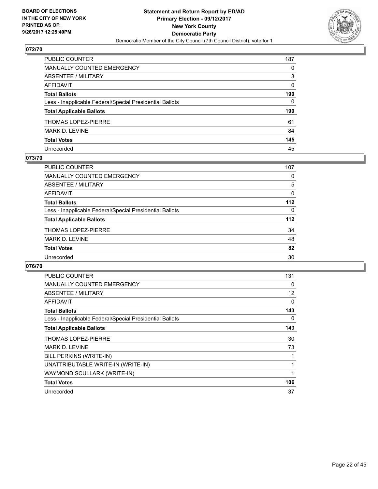

| PUBLIC COUNTER                                           | 187          |
|----------------------------------------------------------|--------------|
| <b>MANUALLY COUNTED EMERGENCY</b>                        | 0            |
| <b>ABSENTEE / MILITARY</b>                               | 3            |
| AFFIDAVIT                                                | $\Omega$     |
| <b>Total Ballots</b>                                     | 190          |
| Less - Inapplicable Federal/Special Presidential Ballots | $\mathbf{0}$ |
| <b>Total Applicable Ballots</b>                          | 190          |
| THOMAS LOPEZ-PIERRE                                      | 61           |
| <b>MARK D. LEVINE</b>                                    | 84           |
| <b>Total Votes</b>                                       | 145          |
| Unrecorded                                               | 45           |

## **073/70**

| <b>PUBLIC COUNTER</b>                                    | 107   |
|----------------------------------------------------------|-------|
| MANUALLY COUNTED EMERGENCY                               | 0     |
| ABSENTEE / MILITARY                                      | 5     |
| AFFIDAVIT                                                | 0     |
| <b>Total Ballots</b>                                     | $112$ |
| Less - Inapplicable Federal/Special Presidential Ballots | 0     |
| <b>Total Applicable Ballots</b>                          | $112$ |
| <b>THOMAS LOPEZ-PIERRE</b>                               | 34    |
| <b>MARK D. LEVINE</b>                                    | 48    |
| <b>Total Votes</b>                                       | 82    |
| Unrecorded                                               | 30    |

| <b>PUBLIC COUNTER</b>                                    | 131 |
|----------------------------------------------------------|-----|
| <b>MANUALLY COUNTED EMERGENCY</b>                        | 0   |
| ABSENTEE / MILITARY                                      | 12  |
| AFFIDAVIT                                                | 0   |
| <b>Total Ballots</b>                                     | 143 |
| Less - Inapplicable Federal/Special Presidential Ballots | 0   |
| <b>Total Applicable Ballots</b>                          | 143 |
| <b>THOMAS LOPEZ-PIERRE</b>                               | 30  |
| MARK D. LEVINE                                           | 73  |
| BILL PERKINS (WRITE-IN)                                  |     |
| UNATTRIBUTABLE WRITE-IN (WRITE-IN)                       |     |
| WAYMOND SCULLARK (WRITE-IN)                              |     |
| <b>Total Votes</b>                                       | 106 |
|                                                          | 37  |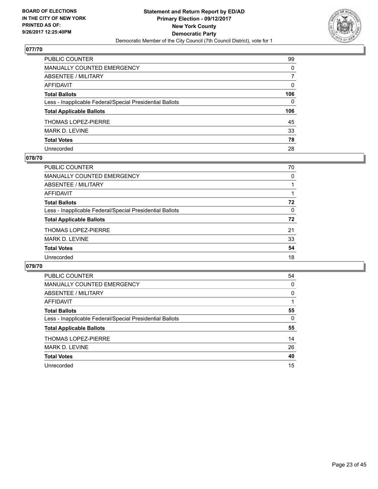

| PUBLIC COUNTER                                           | 99           |
|----------------------------------------------------------|--------------|
| MANUALLY COUNTED EMERGENCY                               | 0            |
| ABSENTEE / MILITARY                                      | 7            |
| AFFIDAVIT                                                | $\mathbf{0}$ |
| Total Ballots                                            | 106          |
| Less - Inapplicable Federal/Special Presidential Ballots | $\Omega$     |
| <b>Total Applicable Ballots</b>                          | 106          |
| THOMAS LOPEZ-PIERRE                                      | 45           |
| MARK D. LEVINE                                           | 33           |
| <b>Total Votes</b>                                       | 78           |
| Unrecorded                                               | 28           |

#### **078/70**

| <b>PUBLIC COUNTER</b>                                    | 70       |
|----------------------------------------------------------|----------|
| MANUALLY COUNTED EMERGENCY                               | 0        |
| ABSENTEE / MILITARY                                      |          |
| AFFIDAVIT                                                |          |
| <b>Total Ballots</b>                                     | 72       |
| Less - Inapplicable Federal/Special Presidential Ballots | $\Omega$ |
| <b>Total Applicable Ballots</b>                          | 72       |
| <b>THOMAS LOPEZ-PIERRE</b>                               | 21       |
| MARK D. LEVINE                                           | 33       |
| <b>Total Votes</b>                                       | 54       |
| Unrecorded                                               | 18       |
|                                                          |          |

| <b>PUBLIC COUNTER</b>                                    | 54 |
|----------------------------------------------------------|----|
| <b>MANUALLY COUNTED EMERGENCY</b>                        | 0  |
| ABSENTEE / MILITARY                                      | 0  |
| AFFIDAVIT                                                |    |
| <b>Total Ballots</b>                                     | 55 |
| Less - Inapplicable Federal/Special Presidential Ballots | 0  |
| <b>Total Applicable Ballots</b>                          | 55 |
| THOMAS LOPEZ-PIERRE                                      | 14 |
| <b>MARK D. LEVINE</b>                                    | 26 |
| <b>Total Votes</b>                                       | 40 |
| Unrecorded                                               | 15 |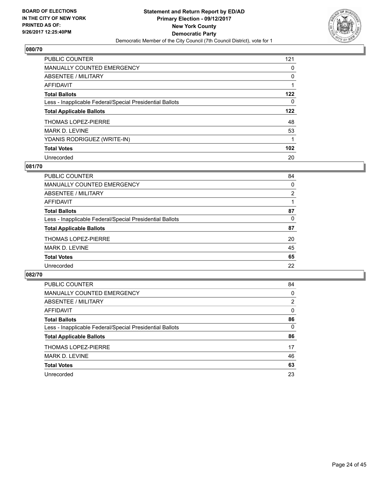

| <b>PUBLIC COUNTER</b>                                    | 121 |
|----------------------------------------------------------|-----|
| <b>MANUALLY COUNTED EMERGENCY</b>                        | 0   |
| ABSENTEE / MILITARY                                      | 0   |
| AFFIDAVIT                                                |     |
| <b>Total Ballots</b>                                     | 122 |
| Less - Inapplicable Federal/Special Presidential Ballots | 0   |
| <b>Total Applicable Ballots</b>                          | 122 |
| <b>THOMAS LOPEZ-PIERRE</b>                               | 48  |
| <b>MARK D. LEVINE</b>                                    | 53  |
| YDANIS RODRIGUEZ (WRITE-IN)                              |     |
| <b>Total Votes</b>                                       | 102 |
| Unrecorded                                               | 20  |

## **081/70**

| <b>PUBLIC COUNTER</b>                                    | 84 |
|----------------------------------------------------------|----|
| <b>MANUALLY COUNTED EMERGENCY</b>                        | 0  |
| ABSENTEE / MILITARY                                      | 2  |
| AFFIDAVIT                                                |    |
| <b>Total Ballots</b>                                     | 87 |
| Less - Inapplicable Federal/Special Presidential Ballots | 0  |
| <b>Total Applicable Ballots</b>                          | 87 |
| <b>THOMAS LOPEZ-PIERRE</b>                               | 20 |
| <b>MARK D. LEVINE</b>                                    | 45 |
| <b>Total Votes</b>                                       | 65 |
| Unrecorded                                               | 22 |

| <b>PUBLIC COUNTER</b>                                    | 84 |
|----------------------------------------------------------|----|
| MANUALLY COUNTED EMERGENCY                               | 0  |
| ABSENTEE / MILITARY                                      | 2  |
| <b>AFFIDAVIT</b>                                         | 0  |
| <b>Total Ballots</b>                                     | 86 |
| Less - Inapplicable Federal/Special Presidential Ballots | 0  |
| <b>Total Applicable Ballots</b>                          | 86 |
| <b>THOMAS LOPEZ-PIERRE</b>                               | 17 |
| MARK D. LEVINE                                           | 46 |
| <b>Total Votes</b>                                       | 63 |
| Unrecorded                                               | 23 |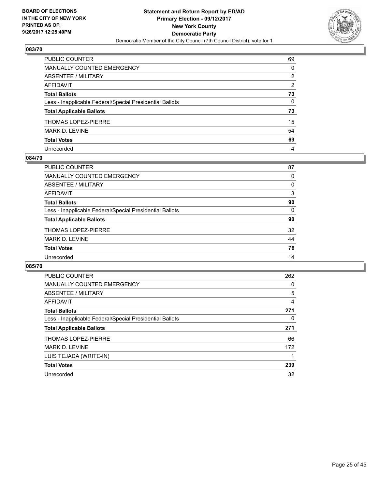

| PUBLIC COUNTER                                           | 69       |
|----------------------------------------------------------|----------|
| MANUALLY COUNTED EMERGENCY                               | $\Omega$ |
| <b>ABSENTEE / MILITARY</b>                               | 2        |
| <b>AFFIDAVIT</b>                                         | 2        |
| <b>Total Ballots</b>                                     | 73       |
| Less - Inapplicable Federal/Special Presidential Ballots | 0        |
| <b>Total Applicable Ballots</b>                          | 73       |
| THOMAS LOPEZ-PIERRE                                      | 15       |
| <b>MARK D. LEVINE</b>                                    | 54       |
| <b>Total Votes</b>                                       | 69       |
| Unrecorded                                               | 4        |

#### **084/70**

| PUBLIC COUNTER                                           | 87 |
|----------------------------------------------------------|----|
| <b>MANUALLY COUNTED EMERGENCY</b>                        | 0  |
| ABSENTEE / MILITARY                                      | 0  |
| AFFIDAVIT                                                | 3  |
| <b>Total Ballots</b>                                     | 90 |
| Less - Inapplicable Federal/Special Presidential Ballots | 0  |
| <b>Total Applicable Ballots</b>                          | 90 |
| <b>THOMAS LOPEZ-PIERRE</b>                               | 32 |
| <b>MARK D. LEVINE</b>                                    | 44 |
| <b>Total Votes</b>                                       | 76 |
| Unrecorded                                               | 14 |

| PUBLIC COUNTER                                           | 262 |
|----------------------------------------------------------|-----|
| <b>MANUALLY COUNTED EMERGENCY</b>                        | 0   |
| ABSENTEE / MILITARY                                      | 5   |
| <b>AFFIDAVIT</b>                                         | 4   |
| <b>Total Ballots</b>                                     | 271 |
| Less - Inapplicable Federal/Special Presidential Ballots | 0   |
| <b>Total Applicable Ballots</b>                          | 271 |
| <b>THOMAS LOPEZ-PIERRE</b>                               | 66  |
| MARK D. LEVINE                                           | 172 |
| LUIS TEJADA (WRITE-IN)                                   |     |
| <b>Total Votes</b>                                       | 239 |
| Unrecorded                                               | 32  |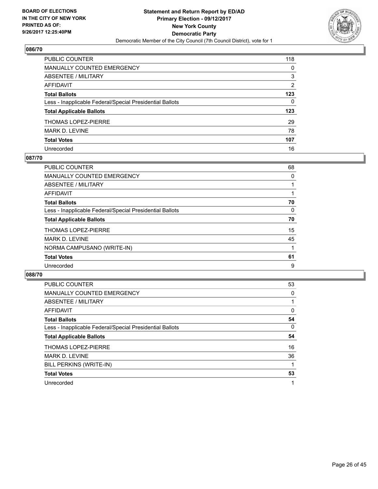

| PUBLIC COUNTER                                           | 118 |
|----------------------------------------------------------|-----|
| <b>MANUALLY COUNTED EMERGENCY</b>                        | 0   |
| <b>ABSENTEE / MILITARY</b>                               | 3   |
| AFFIDAVIT                                                | 2   |
| <b>Total Ballots</b>                                     | 123 |
| Less - Inapplicable Federal/Special Presidential Ballots | 0   |
| <b>Total Applicable Ballots</b>                          | 123 |
| <b>THOMAS LOPEZ-PIERRE</b>                               | 29  |
| MARK D. LEVINE                                           | 78  |
| <b>Total Votes</b>                                       | 107 |
| Unrecorded                                               | 16  |

## **087/70**

| <b>PUBLIC COUNTER</b>                                    | 68 |
|----------------------------------------------------------|----|
| <b>MANUALLY COUNTED EMERGENCY</b>                        | 0  |
| ABSENTEE / MILITARY                                      |    |
| AFFIDAVIT                                                |    |
| <b>Total Ballots</b>                                     | 70 |
| Less - Inapplicable Federal/Special Presidential Ballots | 0  |
| <b>Total Applicable Ballots</b>                          | 70 |
| <b>THOMAS LOPEZ-PIERRE</b>                               | 15 |
| <b>MARK D. LEVINE</b>                                    | 45 |
| NORMA CAMPUSANO (WRITE-IN)                               |    |
| <b>Total Votes</b>                                       | 61 |
| Unrecorded                                               | 9  |

| <b>PUBLIC COUNTER</b>                                    | 53       |
|----------------------------------------------------------|----------|
| <b>MANUALLY COUNTED EMERGENCY</b>                        | 0        |
| ABSENTEE / MILITARY                                      |          |
| AFFIDAVIT                                                | 0        |
| <b>Total Ballots</b>                                     | 54       |
| Less - Inapplicable Federal/Special Presidential Ballots | $\Omega$ |
| <b>Total Applicable Ballots</b>                          | 54       |
| <b>THOMAS LOPEZ-PIERRE</b>                               | 16       |
| <b>MARK D. LEVINE</b>                                    | 36       |
| BILL PERKINS (WRITE-IN)                                  |          |
| <b>Total Votes</b>                                       | 53       |
| Unrecorded                                               | 1        |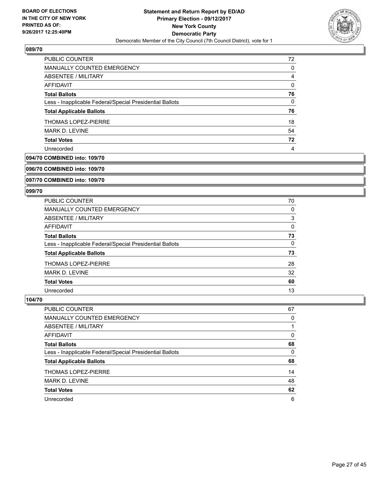

| <b>PUBLIC COUNTER</b>                                    | 72 |
|----------------------------------------------------------|----|
| <b>MANUALLY COUNTED EMERGENCY</b>                        | 0  |
| ABSENTEE / MILITARY                                      | 4  |
| AFFIDAVIT                                                | 0  |
| <b>Total Ballots</b>                                     | 76 |
| Less - Inapplicable Federal/Special Presidential Ballots | 0  |
| <b>Total Applicable Ballots</b>                          | 76 |
| THOMAS LOPEZ-PIERRE                                      | 18 |
| <b>MARK D. LEVINE</b>                                    | 54 |
| <b>Total Votes</b>                                       | 72 |
| Unrecorded                                               | 4  |

# **094/70 COMBINED into: 109/70**

**096/70 COMBINED into: 109/70**

**097/70 COMBINED into: 109/70**

#### **099/70**

| PUBLIC COUNTER                                           | 70       |
|----------------------------------------------------------|----------|
| <b>MANUALLY COUNTED EMERGENCY</b>                        | 0        |
| ABSENTEE / MILITARY                                      | 3        |
| AFFIDAVIT                                                | 0        |
| <b>Total Ballots</b>                                     | 73       |
| Less - Inapplicable Federal/Special Presidential Ballots | $\Omega$ |
| <b>Total Applicable Ballots</b>                          | 73       |
| THOMAS LOPEZ-PIERRE                                      | 28       |
| <b>MARK D. LEVINE</b>                                    | 32       |
| <b>Total Votes</b>                                       | 60       |
| Unrecorded                                               | 13       |

| <b>PUBLIC COUNTER</b>                                    | 67 |
|----------------------------------------------------------|----|
| MANUALLY COUNTED EMERGENCY                               | 0  |
| ABSENTEE / MILITARY                                      |    |
| AFFIDAVIT                                                | 0  |
| <b>Total Ballots</b>                                     | 68 |
| Less - Inapplicable Federal/Special Presidential Ballots | 0  |
| <b>Total Applicable Ballots</b>                          | 68 |
| THOMAS LOPEZ-PIERRE                                      | 14 |
| <b>MARK D. LEVINE</b>                                    | 48 |
| <b>Total Votes</b>                                       | 62 |
| Unrecorded                                               | 6  |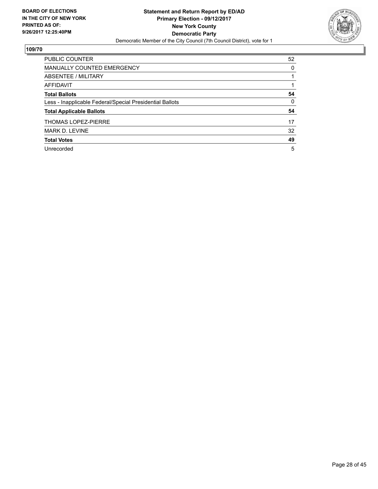

| <b>PUBLIC COUNTER</b>                                    | 52 |
|----------------------------------------------------------|----|
| MANUALLY COUNTED EMERGENCY                               | 0  |
| ABSENTEE / MILITARY                                      |    |
| AFFIDAVIT                                                |    |
| <b>Total Ballots</b>                                     | 54 |
| Less - Inapplicable Federal/Special Presidential Ballots | 0  |
| <b>Total Applicable Ballots</b>                          | 54 |
| <b>THOMAS LOPEZ-PIERRE</b>                               | 17 |
| <b>MARK D. LEVINE</b>                                    | 32 |
| <b>Total Votes</b>                                       | 49 |
| Unrecorded                                               | 5  |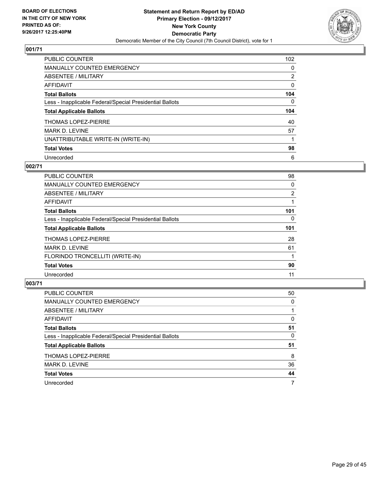

| <b>PUBLIC COUNTER</b>                                    | 102            |
|----------------------------------------------------------|----------------|
| MANUALLY COUNTED EMERGENCY                               | 0              |
| ABSENTEE / MILITARY                                      | $\overline{2}$ |
| AFFIDAVIT                                                | 0              |
| <b>Total Ballots</b>                                     | 104            |
| Less - Inapplicable Federal/Special Presidential Ballots | 0              |
| <b>Total Applicable Ballots</b>                          | 104            |
| <b>THOMAS LOPEZ-PIERRE</b>                               | 40             |
| <b>MARK D. LEVINE</b>                                    | 57             |
| UNATTRIBUTABLE WRITE-IN (WRITE-IN)                       |                |
| <b>Total Votes</b>                                       | 98             |
| Unrecorded                                               | 6              |

# **002/71**

| <b>PUBLIC COUNTER</b>                                    | 98  |
|----------------------------------------------------------|-----|
| <b>MANUALLY COUNTED EMERGENCY</b>                        | 0   |
| ABSENTEE / MILITARY                                      | 2   |
| <b>AFFIDAVIT</b>                                         |     |
| <b>Total Ballots</b>                                     | 101 |
| Less - Inapplicable Federal/Special Presidential Ballots | 0   |
| <b>Total Applicable Ballots</b>                          | 101 |
| <b>THOMAS LOPEZ-PIERRE</b>                               | 28  |
| <b>MARK D. LEVINE</b>                                    | 61  |
| FLORINDO TRONCELLITI (WRITE-IN)                          |     |
| <b>Total Votes</b>                                       | 90  |
| Unrecorded                                               | 11  |

| <b>PUBLIC COUNTER</b>                                    | 50 |
|----------------------------------------------------------|----|
| MANUALLY COUNTED EMERGENCY                               | 0  |
| ABSENTEE / MILITARY                                      |    |
| AFFIDAVIT                                                | 0  |
| <b>Total Ballots</b>                                     | 51 |
| Less - Inapplicable Federal/Special Presidential Ballots | 0  |
| <b>Total Applicable Ballots</b>                          | 51 |
| <b>THOMAS LOPEZ-PIERRE</b>                               | 8  |
| <b>MARK D. LEVINE</b>                                    | 36 |
| <b>Total Votes</b>                                       | 44 |
| Unrecorded                                               | 7  |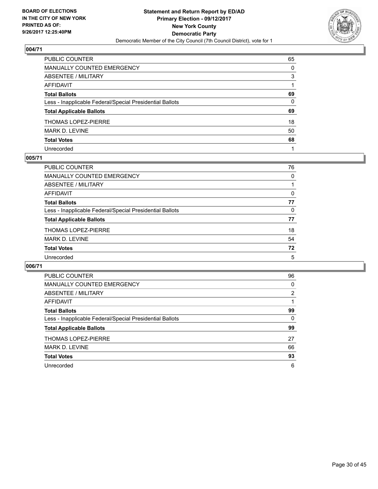

| PUBLIC COUNTER                                           | 65       |
|----------------------------------------------------------|----------|
| <b>MANUALLY COUNTED EMERGENCY</b>                        | 0        |
| ABSENTEE / MILITARY                                      | 3        |
| AFFIDAVIT                                                |          |
| <b>Total Ballots</b>                                     | 69       |
| Less - Inapplicable Federal/Special Presidential Ballots | $\Omega$ |
| <b>Total Applicable Ballots</b>                          | 69       |
| THOMAS LOPEZ-PIERRE                                      | 18       |
| <b>MARK D. LEVINE</b>                                    | 50       |
| <b>Total Votes</b>                                       | 68       |
| Unrecorded                                               |          |

## **005/71**

| PUBLIC COUNTER                                           | 76 |
|----------------------------------------------------------|----|
| MANUALLY COUNTED EMERGENCY                               | 0  |
| ABSENTEE / MILITARY                                      |    |
| AFFIDAVIT                                                | 0  |
| <b>Total Ballots</b>                                     | 77 |
| Less - Inapplicable Federal/Special Presidential Ballots | 0  |
| <b>Total Applicable Ballots</b>                          | 77 |
| <b>THOMAS LOPEZ-PIERRE</b>                               | 18 |
| MARK D. LEVINE                                           | 54 |
| <b>Total Votes</b>                                       | 72 |
| Unrecorded                                               | 5  |

| <b>PUBLIC COUNTER</b>                                    | 96 |
|----------------------------------------------------------|----|
| <b>MANUALLY COUNTED EMERGENCY</b>                        | 0  |
| ABSENTEE / MILITARY                                      | 2  |
| AFFIDAVIT                                                |    |
| <b>Total Ballots</b>                                     | 99 |
| Less - Inapplicable Federal/Special Presidential Ballots | 0  |
| <b>Total Applicable Ballots</b>                          | 99 |
| <b>THOMAS LOPEZ-PIERRE</b>                               | 27 |
| MARK D. LEVINE                                           | 66 |
| <b>Total Votes</b>                                       | 93 |
| Unrecorded                                               | 6  |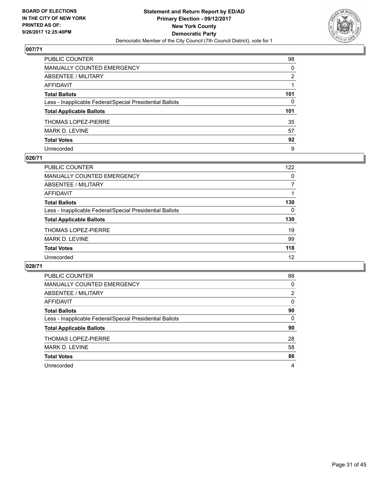

| PUBLIC COUNTER                                           | 98       |
|----------------------------------------------------------|----------|
| MANUALLY COUNTED EMERGENCY                               | $\Omega$ |
| ABSENTEE / MILITARY                                      | 2        |
| AFFIDAVIT                                                |          |
| Total Ballots                                            | 101      |
| Less - Inapplicable Federal/Special Presidential Ballots | 0        |
| <b>Total Applicable Ballots</b>                          | 101      |
| THOMAS LOPEZ-PIERRE                                      | 35       |
| MARK D. LEVINE                                           | 57       |
| <b>Total Votes</b>                                       | 92       |
| Unrecorded                                               | 9        |

#### **026/71**

| PUBLIC COUNTER                                           | 122 |
|----------------------------------------------------------|-----|
| <b>MANUALLY COUNTED EMERGENCY</b>                        | 0   |
| ABSENTEE / MILITARY                                      |     |
| AFFIDAVIT                                                |     |
| <b>Total Ballots</b>                                     | 130 |
| Less - Inapplicable Federal/Special Presidential Ballots | 0   |
| <b>Total Applicable Ballots</b>                          | 130 |
| <b>THOMAS LOPEZ-PIERRE</b>                               | 19  |
| MARK D. LEVINE                                           | 99  |
| <b>Total Votes</b>                                       | 118 |
| Unrecorded                                               | 12  |

| <b>PUBLIC COUNTER</b>                                    | 88             |
|----------------------------------------------------------|----------------|
| <b>MANUALLY COUNTED EMERGENCY</b>                        | 0              |
| ABSENTEE / MILITARY                                      | $\overline{2}$ |
| AFFIDAVIT                                                | 0              |
| <b>Total Ballots</b>                                     | 90             |
| Less - Inapplicable Federal/Special Presidential Ballots | 0              |
| <b>Total Applicable Ballots</b>                          | 90             |
| <b>THOMAS LOPEZ-PIERRE</b>                               | 28             |
| MARK D. LEVINE                                           | 58             |
| <b>Total Votes</b>                                       | 86             |
| Unrecorded                                               | 4              |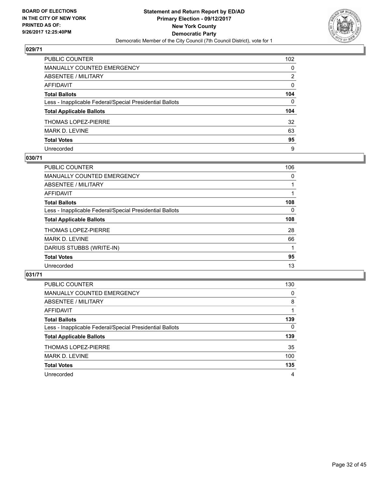

| PUBLIC COUNTER                                           | 102          |
|----------------------------------------------------------|--------------|
| MANUALLY COUNTED EMERGENCY                               | $\mathbf{0}$ |
| ABSENTEE / MILITARY                                      | 2            |
| AFFIDAVIT                                                | 0            |
| Total Ballots                                            | 104          |
| Less - Inapplicable Federal/Special Presidential Ballots | $\mathbf{0}$ |
| <b>Total Applicable Ballots</b>                          | 104          |
| THOMAS LOPEZ-PIERRE                                      | 32           |
| MARK D. LEVINE                                           | 63           |
| <b>Total Votes</b>                                       | 95           |
| Unrecorded                                               | 9            |

## **030/71**

| <b>PUBLIC COUNTER</b>                                    | 106      |
|----------------------------------------------------------|----------|
| MANUALLY COUNTED EMERGENCY                               | 0        |
| ABSENTEE / MILITARY                                      |          |
| <b>AFFIDAVIT</b>                                         |          |
| <b>Total Ballots</b>                                     | 108      |
| Less - Inapplicable Federal/Special Presidential Ballots | $\Omega$ |
| <b>Total Applicable Ballots</b>                          | 108      |
| THOMAS LOPEZ-PIERRE                                      | 28       |
| <b>MARK D. LEVINE</b>                                    | 66       |
| DARIUS STUBBS (WRITE-IN)                                 |          |
| <b>Total Votes</b>                                       | 95       |
| Unrecorded                                               | 13       |

| <b>PUBLIC COUNTER</b>                                    | 130 |
|----------------------------------------------------------|-----|
| MANUALLY COUNTED EMERGENCY                               | 0   |
| ABSENTEE / MILITARY                                      | 8   |
| AFFIDAVIT                                                |     |
| <b>Total Ballots</b>                                     | 139 |
| Less - Inapplicable Federal/Special Presidential Ballots | 0   |
| <b>Total Applicable Ballots</b>                          | 139 |
| <b>THOMAS LOPEZ-PIERRE</b>                               | 35  |
| MARK D. LEVINE                                           | 100 |
| <b>Total Votes</b>                                       | 135 |
| Unrecorded                                               | 4   |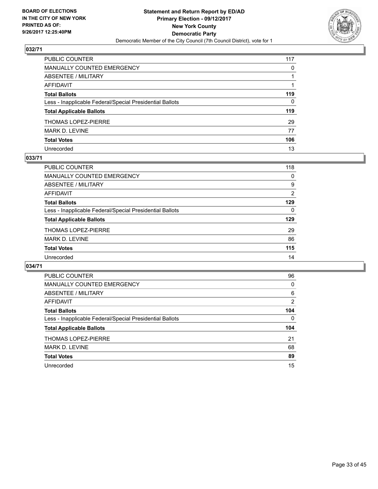

| PUBLIC COUNTER                                           | 117          |
|----------------------------------------------------------|--------------|
| MANUALLY COUNTED EMERGENCY                               | $\mathbf{0}$ |
| ABSENTEE / MILITARY                                      |              |
| AFFIDAVIT                                                |              |
| Total Ballots                                            | 119          |
| Less - Inapplicable Federal/Special Presidential Ballots | 0            |
| <b>Total Applicable Ballots</b>                          | 119          |
| THOMAS LOPEZ-PIERRE                                      | 29           |
| MARK D. LEVINE                                           | 77           |
| <b>Total Votes</b>                                       | 106          |
| Unrecorded                                               | 13           |

## **033/71**

| PUBLIC COUNTER                                           | 118 |
|----------------------------------------------------------|-----|
| <b>MANUALLY COUNTED EMERGENCY</b>                        | 0   |
| ABSENTEE / MILITARY                                      | 9   |
| AFFIDAVIT                                                | 2   |
| <b>Total Ballots</b>                                     | 129 |
| Less - Inapplicable Federal/Special Presidential Ballots | 0   |
| <b>Total Applicable Ballots</b>                          | 129 |
| <b>THOMAS LOPEZ-PIERRE</b>                               | 29  |
| MARK D. LEVINE                                           | 86  |
| <b>Total Votes</b>                                       | 115 |
| Unrecorded                                               | 14  |

| <b>PUBLIC COUNTER</b>                                    | 96  |
|----------------------------------------------------------|-----|
| <b>MANUALLY COUNTED EMERGENCY</b>                        | 0   |
| ABSENTEE / MILITARY                                      | 6   |
| AFFIDAVIT                                                | 2   |
| <b>Total Ballots</b>                                     | 104 |
| Less - Inapplicable Federal/Special Presidential Ballots | 0   |
| <b>Total Applicable Ballots</b>                          | 104 |
| <b>THOMAS LOPEZ-PIERRE</b>                               | 21  |
| <b>MARK D. LEVINE</b>                                    | 68  |
|                                                          |     |
| <b>Total Votes</b>                                       | 89  |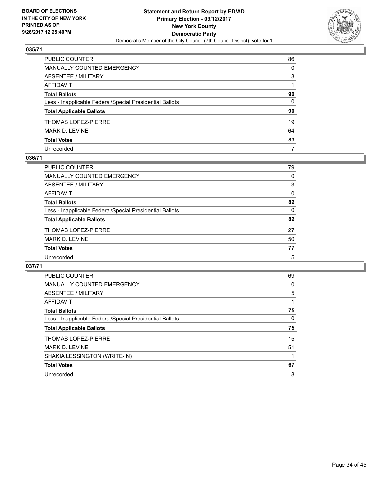

| PUBLIC COUNTER                                           | 86           |
|----------------------------------------------------------|--------------|
| MANUALLY COUNTED EMERGENCY                               | $\Omega$     |
| ABSENTEE / MILITARY                                      | 3            |
| AFFIDAVIT                                                |              |
| Total Ballots                                            | 90           |
| Less - Inapplicable Federal/Special Presidential Ballots | $\mathbf{0}$ |
| <b>Total Applicable Ballots</b>                          | 90           |
| THOMAS LOPEZ-PIERRE                                      | 19           |
| MARK D. LEVINE                                           | 64           |
| <b>Total Votes</b>                                       | 83           |
| Unrecorded                                               | 7            |

#### **036/71**

| <b>PUBLIC COUNTER</b>                                    | 79       |
|----------------------------------------------------------|----------|
| <b>MANUALLY COUNTED EMERGENCY</b>                        | 0        |
| ABSENTEE / MILITARY                                      | 3        |
| AFFIDAVIT                                                | 0        |
| <b>Total Ballots</b>                                     | 82       |
| Less - Inapplicable Federal/Special Presidential Ballots | $\Omega$ |
| <b>Total Applicable Ballots</b>                          | 82       |
| <b>THOMAS LOPEZ-PIERRE</b>                               | 27       |
| MARK D. LEVINE                                           | 50       |
| <b>Total Votes</b>                                       | 77       |
| Unrecorded                                               | 5        |
|                                                          |          |

| <b>PUBLIC COUNTER</b>                                    | 69 |
|----------------------------------------------------------|----|
| <b>MANUALLY COUNTED EMERGENCY</b>                        | 0  |
| ABSENTEE / MILITARY                                      | 5  |
| AFFIDAVIT                                                |    |
| <b>Total Ballots</b>                                     | 75 |
| Less - Inapplicable Federal/Special Presidential Ballots | 0  |
| <b>Total Applicable Ballots</b>                          | 75 |
| <b>THOMAS LOPEZ-PIERRE</b>                               | 15 |
| <b>MARK D. LEVINE</b>                                    | 51 |
| SHAKIA LESSINGTON (WRITE-IN)                             |    |
| <b>Total Votes</b>                                       | 67 |
|                                                          |    |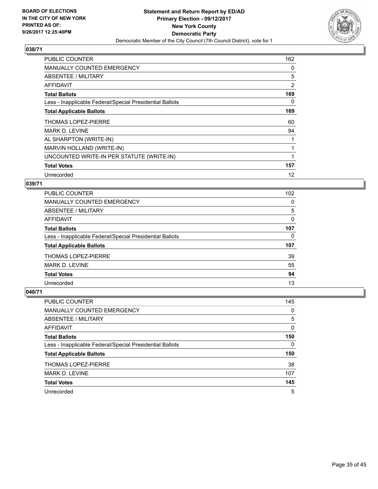

| <b>PUBLIC COUNTER</b>                                    | 162 |
|----------------------------------------------------------|-----|
| <b>MANUALLY COUNTED EMERGENCY</b>                        | 0   |
| ABSENTEE / MILITARY                                      | 5   |
| AFFIDAVIT                                                | 2   |
| <b>Total Ballots</b>                                     | 169 |
| Less - Inapplicable Federal/Special Presidential Ballots | 0   |
| <b>Total Applicable Ballots</b>                          | 169 |
| THOMAS LOPEZ-PIERRE                                      | 60  |
| <b>MARK D. LEVINE</b>                                    | 94  |
| AL SHARPTON (WRITE-IN)                                   |     |
| MARVIN HOLLAND (WRITE-IN)                                |     |
| UNCOUNTED WRITE-IN PER STATUTE (WRITE-IN)                |     |
| <b>Total Votes</b>                                       | 157 |
| Unrecorded                                               | 12  |

## **039/71**

| <b>PUBLIC COUNTER</b>                                    | 102 |
|----------------------------------------------------------|-----|
| <b>MANUALLY COUNTED EMERGENCY</b>                        | 0   |
| ABSENTEE / MILITARY                                      | 5   |
| AFFIDAVIT                                                | 0   |
| <b>Total Ballots</b>                                     | 107 |
| Less - Inapplicable Federal/Special Presidential Ballots | 0   |
| <b>Total Applicable Ballots</b>                          | 107 |
| <b>THOMAS LOPEZ-PIERRE</b>                               | 39  |
| <b>MARK D. LEVINE</b>                                    | 55  |
| <b>Total Votes</b>                                       | 94  |
| Unrecorded                                               | 13  |

| <b>PUBLIC COUNTER</b>                                    | 145      |
|----------------------------------------------------------|----------|
| MANUALLY COUNTED EMERGENCY                               | 0        |
| ABSENTEE / MILITARY                                      | 5        |
| AFFIDAVIT                                                | $\Omega$ |
| <b>Total Ballots</b>                                     | 150      |
| Less - Inapplicable Federal/Special Presidential Ballots | 0        |
| <b>Total Applicable Ballots</b>                          | 150      |
| <b>THOMAS LOPEZ-PIERRE</b>                               | 38       |
| <b>MARK D. LEVINE</b>                                    | 107      |
| <b>Total Votes</b>                                       | 145      |
| Unrecorded                                               | 5        |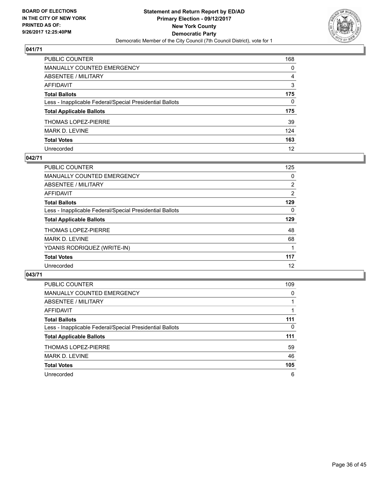

| PUBLIC COUNTER                                           | 168          |
|----------------------------------------------------------|--------------|
| <b>MANUALLY COUNTED EMERGENCY</b>                        | 0            |
| <b>ABSENTEE / MILITARY</b>                               | 4            |
| AFFIDAVIT                                                | 3            |
| <b>Total Ballots</b>                                     | 175          |
| Less - Inapplicable Federal/Special Presidential Ballots | $\mathbf{0}$ |
| <b>Total Applicable Ballots</b>                          | 175          |
| THOMAS LOPEZ-PIERRE                                      | 39           |
| MARK D. LEVINE                                           | 124          |
| <b>Total Votes</b>                                       | 163          |
| Unrecorded                                               | 12           |

## **042/71**

| <b>PUBLIC COUNTER</b>                                    | 125 |
|----------------------------------------------------------|-----|
| <b>MANUALLY COUNTED EMERGENCY</b>                        | 0   |
| ABSENTEE / MILITARY                                      | 2   |
| AFFIDAVIT                                                | 2   |
| <b>Total Ballots</b>                                     | 129 |
| Less - Inapplicable Federal/Special Presidential Ballots | 0   |
| <b>Total Applicable Ballots</b>                          | 129 |
| <b>THOMAS LOPEZ-PIERRE</b>                               | 48  |
| <b>MARK D. LEVINE</b>                                    | 68  |
| YDANIS RODRIQUEZ (WRITE-IN)                              |     |
| <b>Total Votes</b>                                       | 117 |
| Unrecorded                                               | 12  |

| <b>PUBLIC COUNTER</b>                                    | 109 |
|----------------------------------------------------------|-----|
| <b>MANUALLY COUNTED EMERGENCY</b>                        | 0   |
| ABSENTEE / MILITARY                                      |     |
| AFFIDAVIT                                                |     |
| <b>Total Ballots</b>                                     | 111 |
| Less - Inapplicable Federal/Special Presidential Ballots | 0   |
| <b>Total Applicable Ballots</b>                          | 111 |
| THOMAS LOPEZ-PIERRE                                      | 59  |
| <b>MARK D. LEVINE</b>                                    | 46  |
| <b>Total Votes</b>                                       | 105 |
| Unrecorded                                               | 6   |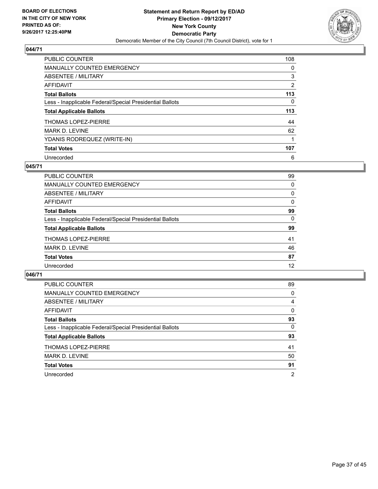

| <b>PUBLIC COUNTER</b>                                    | 108 |
|----------------------------------------------------------|-----|
| MANUALLY COUNTED EMERGENCY                               | 0   |
| ABSENTEE / MILITARY                                      | 3   |
| AFFIDAVIT                                                | 2   |
| <b>Total Ballots</b>                                     | 113 |
| Less - Inapplicable Federal/Special Presidential Ballots | 0   |
| <b>Total Applicable Ballots</b>                          | 113 |
| <b>THOMAS LOPEZ-PIERRE</b>                               | 44  |
| <b>MARK D. LEVINE</b>                                    | 62  |
| YDANIS RODREQUEZ (WRITE-IN)                              |     |
| <b>Total Votes</b>                                       | 107 |
| Unrecorded                                               | 6   |

## **045/71**

| <b>PUBLIC COUNTER</b>                                    | 99 |
|----------------------------------------------------------|----|
| MANUALLY COUNTED EMERGENCY                               | 0  |
| ABSENTEE / MILITARY                                      | 0  |
| AFFIDAVIT                                                | 0  |
| <b>Total Ballots</b>                                     | 99 |
| Less - Inapplicable Federal/Special Presidential Ballots | 0  |
| <b>Total Applicable Ballots</b>                          | 99 |
| <b>THOMAS LOPEZ-PIERRE</b>                               | 41 |
| <b>MARK D. LEVINE</b>                                    | 46 |
| <b>Total Votes</b>                                       | 87 |
| Unrecorded                                               | 12 |

| PUBLIC COUNTER                                           | 89             |
|----------------------------------------------------------|----------------|
| MANUALLY COUNTED EMERGENCY                               | 0              |
| ABSENTEE / MILITARY                                      | 4              |
| AFFIDAVIT                                                | 0              |
| <b>Total Ballots</b>                                     | 93             |
| Less - Inapplicable Federal/Special Presidential Ballots | 0              |
| <b>Total Applicable Ballots</b>                          | 93             |
| <b>THOMAS LOPEZ-PIERRE</b>                               | 41             |
| MARK D. LEVINE                                           | 50             |
| <b>Total Votes</b>                                       | 91             |
| Unrecorded                                               | $\overline{2}$ |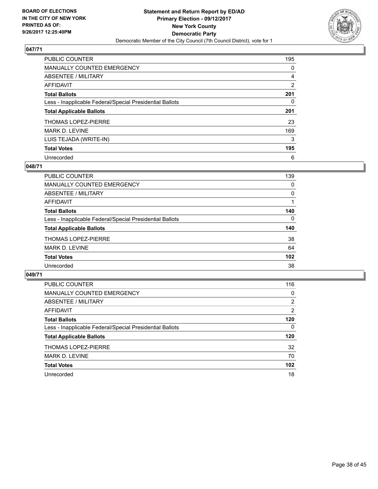

| <b>PUBLIC COUNTER</b>                                    | 195            |
|----------------------------------------------------------|----------------|
| MANUALLY COUNTED EMERGENCY                               | 0              |
| ABSENTEE / MILITARY                                      | 4              |
| AFFIDAVIT                                                | $\overline{2}$ |
| <b>Total Ballots</b>                                     | 201            |
| Less - Inapplicable Federal/Special Presidential Ballots | 0              |
| <b>Total Applicable Ballots</b>                          | 201            |
| <b>THOMAS LOPEZ-PIERRE</b>                               | 23             |
| <b>MARK D. LEVINE</b>                                    | 169            |
| LUIS TEJADA (WRITE-IN)                                   | 3              |
| <b>Total Votes</b>                                       | 195            |
| Unrecorded                                               | 6              |

## **048/71**

| <b>PUBLIC COUNTER</b>                                    | 139      |
|----------------------------------------------------------|----------|
| <b>MANUALLY COUNTED EMERGENCY</b>                        | 0        |
| ABSENTEE / MILITARY                                      | 0        |
| AFFIDAVIT                                                |          |
| <b>Total Ballots</b>                                     | 140      |
| Less - Inapplicable Federal/Special Presidential Ballots | $\Omega$ |
| <b>Total Applicable Ballots</b>                          | 140      |
| <b>THOMAS LOPEZ-PIERRE</b>                               | 38       |
| <b>MARK D. LEVINE</b>                                    | 64       |
| <b>Total Votes</b>                                       | 102      |
| Unrecorded                                               | 38       |

| <b>PUBLIC COUNTER</b>                                    | 116            |
|----------------------------------------------------------|----------------|
| MANUALLY COUNTED EMERGENCY                               | 0              |
| ABSENTEE / MILITARY                                      | $\overline{2}$ |
| AFFIDAVIT                                                | 2              |
| <b>Total Ballots</b>                                     | 120            |
| Less - Inapplicable Federal/Special Presidential Ballots | $\Omega$       |
| <b>Total Applicable Ballots</b>                          | 120            |
| <b>THOMAS LOPEZ-PIERRE</b>                               | 32             |
| MARK D. LEVINE                                           | 70             |
| <b>Total Votes</b>                                       | 102            |
| Unrecorded                                               | 18             |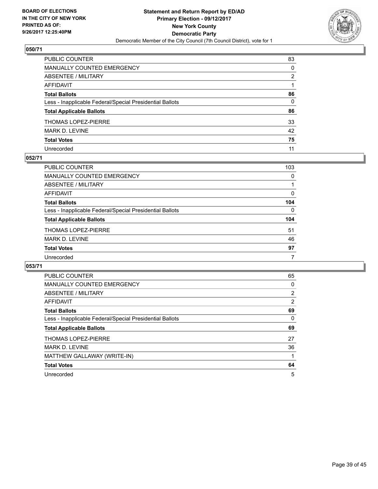

| PUBLIC COUNTER                                           | 83 |
|----------------------------------------------------------|----|
| MANUALLY COUNTED EMERGENCY                               | 0  |
| ABSENTEE / MILITARY                                      | 2  |
| AFFIDAVIT                                                |    |
| Total Ballots                                            | 86 |
| Less - Inapplicable Federal/Special Presidential Ballots | 0  |
| <b>Total Applicable Ballots</b>                          | 86 |
| THOMAS LOPEZ-PIERRE                                      | 33 |
| MARK D. LEVINE                                           | 42 |
| <b>Total Votes</b>                                       | 75 |
| Unrecorded                                               | 11 |

## **052/71**

| <b>PUBLIC COUNTER</b>                                    | 103      |
|----------------------------------------------------------|----------|
| MANUALLY COUNTED EMERGENCY                               | 0        |
| ABSENTEE / MILITARY                                      |          |
| AFFIDAVIT                                                | 0        |
| <b>Total Ballots</b>                                     | 104      |
| Less - Inapplicable Federal/Special Presidential Ballots | $\Omega$ |
| <b>Total Applicable Ballots</b>                          | 104      |
| <b>THOMAS LOPEZ-PIERRE</b>                               | 51       |
| <b>MARK D. LEVINE</b>                                    | 46       |
| <b>Total Votes</b>                                       | 97       |
| Unrecorded                                               |          |

| <b>PUBLIC COUNTER</b>                                    | 65 |
|----------------------------------------------------------|----|
| <b>MANUALLY COUNTED EMERGENCY</b>                        | 0  |
| ABSENTEE / MILITARY                                      | 2  |
| AFFIDAVIT                                                | 2  |
| <b>Total Ballots</b>                                     | 69 |
| Less - Inapplicable Federal/Special Presidential Ballots | 0  |
| <b>Total Applicable Ballots</b>                          | 69 |
| <b>THOMAS LOPEZ-PIERRE</b>                               | 27 |
| MARK D. LEVINE                                           | 36 |
|                                                          |    |
| MATTHEW GALLAWAY (WRITE-IN)                              |    |
| <b>Total Votes</b>                                       | 64 |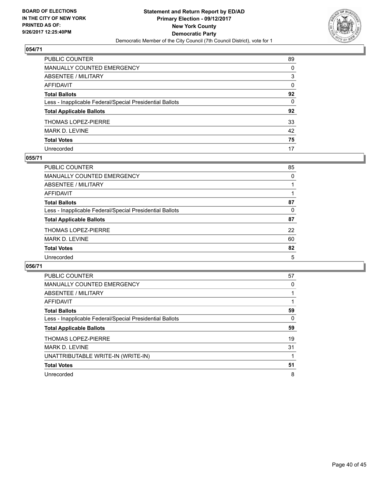

| PUBLIC COUNTER                                           | 89 |
|----------------------------------------------------------|----|
| MANUALLY COUNTED EMERGENCY                               | 0  |
| ABSENTEE / MILITARY                                      | 3  |
| AFFIDAVIT                                                | 0  |
| Total Ballots                                            | 92 |
| Less - Inapplicable Federal/Special Presidential Ballots | 0  |
| <b>Total Applicable Ballots</b>                          | 92 |
| THOMAS LOPEZ-PIERRE                                      | 33 |
| MARK D. LEVINE                                           | 42 |
| <b>Total Votes</b>                                       | 75 |
| Unrecorded                                               | 17 |

## **055/71**

| <b>PUBLIC COUNTER</b>                                    | 85 |
|----------------------------------------------------------|----|
| <b>MANUALLY COUNTED EMERGENCY</b>                        | 0  |
| ABSENTEE / MILITARY                                      |    |
| AFFIDAVIT                                                |    |
| <b>Total Ballots</b>                                     | 87 |
| Less - Inapplicable Federal/Special Presidential Ballots | 0  |
| <b>Total Applicable Ballots</b>                          | 87 |
| <b>THOMAS LOPEZ-PIERRE</b>                               | 22 |
| MARK D. LEVINE                                           | 60 |
| <b>Total Votes</b>                                       | 82 |
| Unrecorded                                               | 5  |

| <b>PUBLIC COUNTER</b>                                    | 57 |
|----------------------------------------------------------|----|
| <b>MANUALLY COUNTED EMERGENCY</b>                        | 0  |
| ABSENTEE / MILITARY                                      |    |
| <b>AFFIDAVIT</b>                                         |    |
| <b>Total Ballots</b>                                     | 59 |
| Less - Inapplicable Federal/Special Presidential Ballots | 0  |
| <b>Total Applicable Ballots</b>                          | 59 |
| <b>THOMAS LOPEZ-PIERRE</b>                               | 19 |
| <b>MARK D. LEVINE</b>                                    | 31 |
| UNATTRIBUTABLE WRITE-IN (WRITE-IN)                       |    |
| <b>Total Votes</b>                                       | 51 |
| Unrecorded                                               | 8  |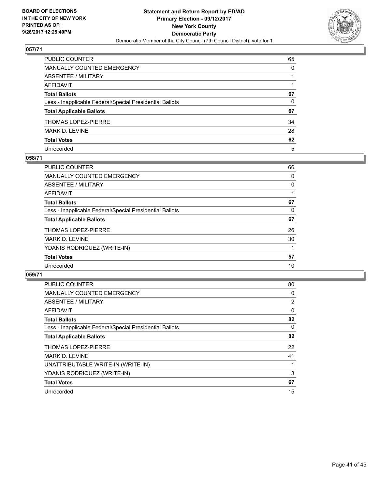

| PUBLIC COUNTER                                           | 65       |
|----------------------------------------------------------|----------|
| MANUALLY COUNTED EMERGENCY                               | $\Omega$ |
| ABSENTEE / MILITARY                                      |          |
| AFFIDAVIT                                                |          |
| Total Ballots                                            | 67       |
| Less - Inapplicable Federal/Special Presidential Ballots | 0        |
| <b>Total Applicable Ballots</b>                          | 67       |
| THOMAS LOPEZ-PIERRE                                      | 34       |
| MARK D. LEVINE                                           | 28       |
| <b>Total Votes</b>                                       | 62       |
| Unrecorded                                               | 5        |

#### **058/71**

| <b>PUBLIC COUNTER</b>                                    | 66 |
|----------------------------------------------------------|----|
| <b>MANUALLY COUNTED EMERGENCY</b>                        | 0  |
| ABSENTEE / MILITARY                                      | 0  |
| AFFIDAVIT                                                |    |
| <b>Total Ballots</b>                                     | 67 |
| Less - Inapplicable Federal/Special Presidential Ballots | 0  |
| <b>Total Applicable Ballots</b>                          | 67 |
| <b>THOMAS LOPEZ-PIERRE</b>                               | 26 |
| <b>MARK D. LEVINE</b>                                    | 30 |
| YDANIS RODRIQUEZ (WRITE-IN)                              |    |
| <b>Total Votes</b>                                       | 57 |
| Unrecorded                                               | 10 |

| <b>PUBLIC COUNTER</b>                                    | 80             |
|----------------------------------------------------------|----------------|
| MANUALLY COUNTED EMERGENCY                               | 0              |
| ABSENTEE / MILITARY                                      | $\overline{2}$ |
| <b>AFFIDAVIT</b>                                         | 0              |
| <b>Total Ballots</b>                                     | 82             |
| Less - Inapplicable Federal/Special Presidential Ballots | 0              |
| <b>Total Applicable Ballots</b>                          | 82             |
| <b>THOMAS LOPEZ-PIERRE</b>                               | 22             |
| <b>MARK D. LEVINE</b>                                    | 41             |
| UNATTRIBUTABLE WRITE-IN (WRITE-IN)                       |                |
| YDANIS RODRIQUEZ (WRITE-IN)                              | 3              |
| <b>Total Votes</b>                                       | 67             |
| Unrecorded                                               | 15             |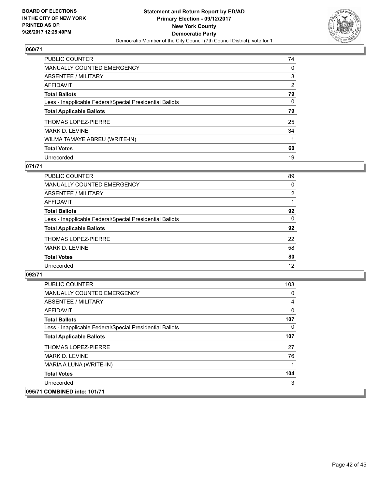

| <b>PUBLIC COUNTER</b>                                    | 74 |
|----------------------------------------------------------|----|
| MANUALLY COUNTED EMERGENCY                               | 0  |
| ABSENTEE / MILITARY                                      | 3  |
| AFFIDAVIT                                                | 2  |
| <b>Total Ballots</b>                                     | 79 |
| Less - Inapplicable Federal/Special Presidential Ballots | 0  |
| <b>Total Applicable Ballots</b>                          | 79 |
| <b>THOMAS LOPEZ-PIERRE</b>                               | 25 |
| <b>MARK D. LEVINE</b>                                    | 34 |
| WILMA TAMAYE ABREU (WRITE-IN)                            |    |
| <b>Total Votes</b>                                       | 60 |
| Unrecorded                                               | 19 |

## **071/71**

| <b>PUBLIC COUNTER</b>                                    | 89             |
|----------------------------------------------------------|----------------|
| MANUALLY COUNTED EMERGENCY                               | 0              |
| ABSENTEE / MILITARY                                      | $\overline{2}$ |
| AFFIDAVIT                                                |                |
| <b>Total Ballots</b>                                     | 92             |
| Less - Inapplicable Federal/Special Presidential Ballots | 0              |
| <b>Total Applicable Ballots</b>                          | 92             |
| <b>THOMAS LOPEZ-PIERRE</b>                               | 22             |
| <b>MARK D. LEVINE</b>                                    | 58             |
| <b>Total Votes</b>                                       | 80             |
| Unrecorded                                               | 12             |

| PUBLIC COUNTER                                           | 103 |
|----------------------------------------------------------|-----|
| <b>MANUALLY COUNTED EMERGENCY</b>                        | 0   |
| ABSENTEE / MILITARY                                      | 4   |
| AFFIDAVIT                                                | 0   |
| <b>Total Ballots</b>                                     | 107 |
| Less - Inapplicable Federal/Special Presidential Ballots | 0   |
| <b>Total Applicable Ballots</b>                          | 107 |
| <b>THOMAS LOPEZ-PIERRE</b>                               | 27  |
| <b>MARK D. LEVINE</b>                                    | 76  |
| MARIA A LUNA (WRITE-IN)                                  |     |
| <b>Total Votes</b>                                       | 104 |
| Unrecorded                                               | 3   |
| 095/71 COMBINED into: 101/71                             |     |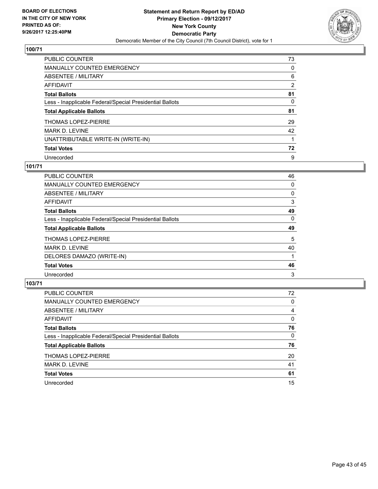

| <b>PUBLIC COUNTER</b>                                    | 73 |
|----------------------------------------------------------|----|
| MANUALLY COUNTED EMERGENCY                               | 0  |
| ABSENTEE / MILITARY                                      | 6  |
| AFFIDAVIT                                                | 2  |
| <b>Total Ballots</b>                                     | 81 |
| Less - Inapplicable Federal/Special Presidential Ballots | 0  |
| <b>Total Applicable Ballots</b>                          | 81 |
| <b>THOMAS LOPEZ-PIERRE</b>                               | 29 |
| <b>MARK D. LEVINE</b>                                    | 42 |
| UNATTRIBUTABLE WRITE-IN (WRITE-IN)                       |    |
| <b>Total Votes</b>                                       | 72 |
| Unrecorded                                               | 9  |

## **101/71**

| 46       |
|----------|
| 0        |
| 0        |
| 3        |
| 49       |
| $\Omega$ |
| 49       |
| 5        |
| 40       |
|          |
| 46       |
| 3        |
|          |

| <b>PUBLIC COUNTER</b>                                    | 72 |
|----------------------------------------------------------|----|
| MANUALLY COUNTED EMERGENCY                               | 0  |
| ABSENTEE / MILITARY                                      | 4  |
| AFFIDAVIT                                                | 0  |
| <b>Total Ballots</b>                                     | 76 |
| Less - Inapplicable Federal/Special Presidential Ballots | 0  |
| <b>Total Applicable Ballots</b>                          | 76 |
| <b>THOMAS LOPEZ-PIERRE</b>                               | 20 |
| <b>MARK D. LEVINE</b>                                    | 41 |
| <b>Total Votes</b>                                       | 61 |
| Unrecorded                                               | 15 |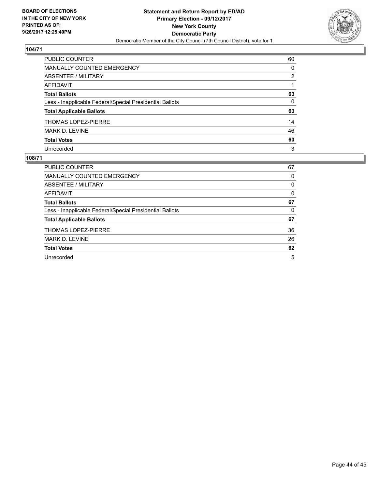

| PUBLIC COUNTER                                           | 60       |
|----------------------------------------------------------|----------|
| <b>MANUALLY COUNTED EMERGENCY</b>                        | 0        |
| <b>ABSENTEE / MILITARY</b>                               | 2        |
| <b>AFFIDAVIT</b>                                         |          |
| <b>Total Ballots</b>                                     | 63       |
| Less - Inapplicable Federal/Special Presidential Ballots | $\Omega$ |
| <b>Total Applicable Ballots</b>                          | 63       |
| <b>THOMAS LOPEZ-PIERRE</b>                               | 14       |
| MARK D. LEVINE                                           | 46       |
| <b>Total Votes</b>                                       | 60       |
| Unrecorded                                               | 3        |

| PUBLIC COUNTER                                           | 67 |
|----------------------------------------------------------|----|
| <b>MANUALLY COUNTED EMERGENCY</b>                        | 0  |
| ABSENTEE / MILITARY                                      | 0  |
| AFFIDAVIT                                                | 0  |
| <b>Total Ballots</b>                                     | 67 |
| Less - Inapplicable Federal/Special Presidential Ballots | 0  |
| <b>Total Applicable Ballots</b>                          | 67 |
| <b>THOMAS LOPEZ-PIERRE</b>                               | 36 |
| <b>MARK D. LEVINE</b>                                    | 26 |
| <b>Total Votes</b>                                       | 62 |
| Unrecorded                                               | 5  |